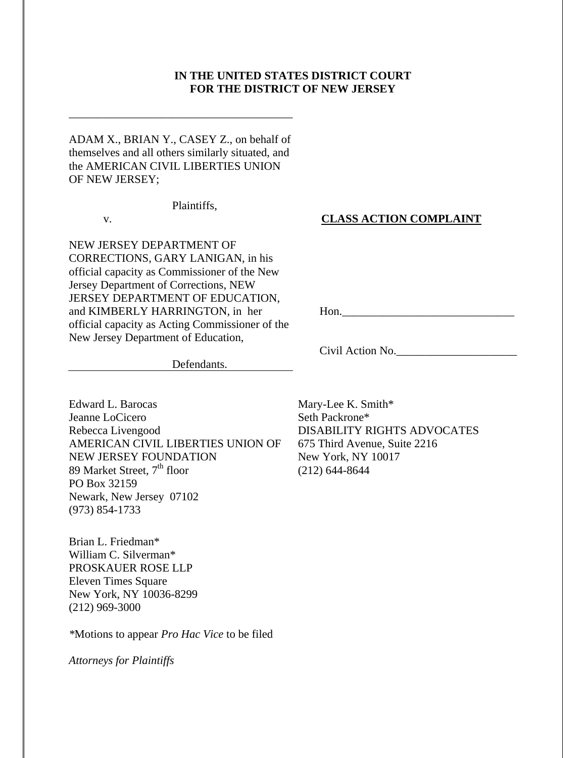# **IN THE UNITED STATES DISTRICT COURT FOR THE DISTRICT OF NEW JERSEY**

ADAM X., BRIAN Y., CASEY Z., on behalf of themselves and all others similarly situated, and the AMERICAN CIVIL LIBERTIES UNION OF NEW JERSEY;

\_\_\_\_\_\_\_\_\_\_\_\_\_\_\_\_\_\_\_\_\_\_\_\_\_\_\_\_\_\_\_\_\_\_\_\_\_\_\_

Plaintiffs,

v.

**CLASS ACTION COMPLAINT** 

NEW JERSEY DEPARTMENT OF CORRECTIONS, GARY LANIGAN, in his official capacity as Commissioner of the New Jersey Department of Corrections, NEW JERSEY DEPARTMENT OF EDUCATION, and KIMBERLY HARRINGTON, in her official capacity as Acting Commissioner of the New Jersey Department of Education,

Hon.\_\_\_\_\_\_\_\_\_\_\_\_\_\_\_\_\_\_\_\_\_\_\_\_\_\_\_\_\_\_

Civil Action No.\_\_\_\_\_\_\_\_\_\_\_\_\_\_\_\_\_\_\_\_\_

Defendants.

Edward L. Barocas Jeanne LoCicero Rebecca Livengood AMERICAN CIVIL LIBERTIES UNION OF NEW JERSEY FOUNDATION 89 Market Street,  $7<sup>th</sup>$  floor PO Box 32159 Newark, New Jersey 07102 (973) 854-1733

Brian L. Friedman\* William C. Silverman\* PROSKAUER ROSE LLP Eleven Times Square New York, NY 10036-8299 (212) 969-3000

*\**Motions to appear *Pro Hac Vice* to be filed

*Attorneys for Plaintiffs* 

Mary-Lee K. Smith\* Seth Packrone\* DISABILITY RIGHTS ADVOCATES 675 Third Avenue, Suite 2216 New York, NY 10017 (212) 644-8644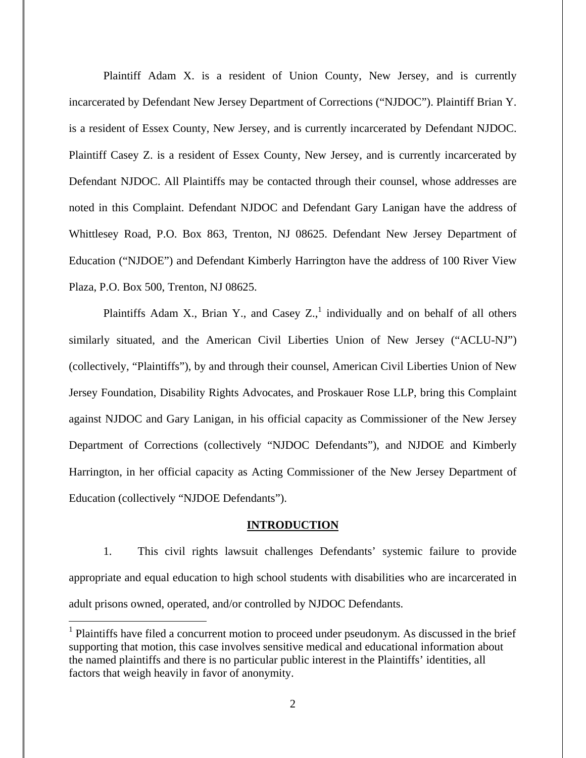Plaintiff Adam X. is a resident of Union County, New Jersey, and is currently incarcerated by Defendant New Jersey Department of Corrections ("NJDOC"). Plaintiff Brian Y. is a resident of Essex County, New Jersey, and is currently incarcerated by Defendant NJDOC. Plaintiff Casey Z. is a resident of Essex County, New Jersey, and is currently incarcerated by Defendant NJDOC. All Plaintiffs may be contacted through their counsel, whose addresses are noted in this Complaint. Defendant NJDOC and Defendant Gary Lanigan have the address of Whittlesey Road, P.O. Box 863, Trenton, NJ 08625. Defendant New Jersey Department of Education ("NJDOE") and Defendant Kimberly Harrington have the address of 100 River View Plaza, P.O. Box 500, Trenton, NJ 08625.

Plaintiffs Adam X., Brian Y., and Casey  $Z_{n}$ , individually and on behalf of all others similarly situated, and the American Civil Liberties Union of New Jersey ("ACLU-NJ") (collectively, "Plaintiffs"), by and through their counsel, American Civil Liberties Union of New Jersey Foundation, Disability Rights Advocates, and Proskauer Rose LLP, bring this Complaint against NJDOC and Gary Lanigan, in his official capacity as Commissioner of the New Jersey Department of Corrections (collectively "NJDOC Defendants"), and NJDOE and Kimberly Harrington, in her official capacity as Acting Commissioner of the New Jersey Department of Education (collectively "NJDOE Defendants").

#### **INTRODUCTION**

1. This civil rights lawsuit challenges Defendants' systemic failure to provide appropriate and equal education to high school students with disabilities who are incarcerated in adult prisons owned, operated, and/or controlled by NJDOC Defendants.

 $<sup>1</sup>$  Plaintiffs have filed a concurrent motion to proceed under pseudonym. As discussed in the brief</sup> supporting that motion, this case involves sensitive medical and educational information about the named plaintiffs and there is no particular public interest in the Plaintiffs' identities, all factors that weigh heavily in favor of anonymity.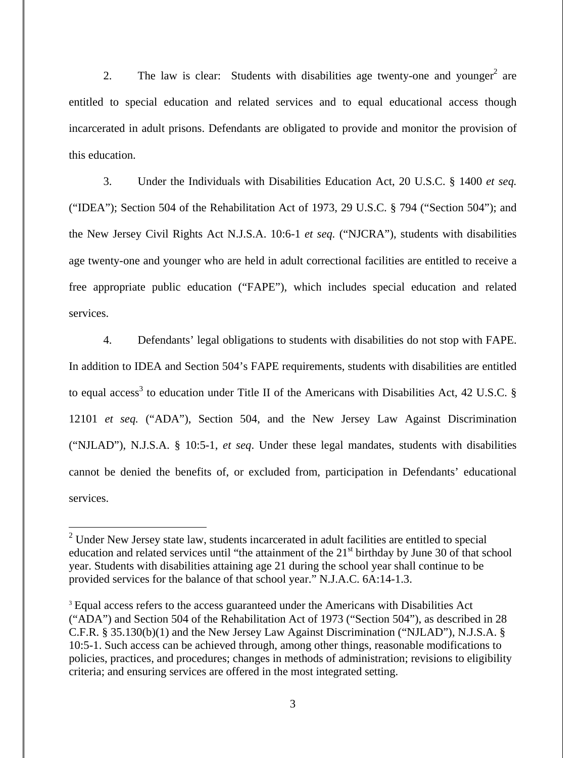2. The law is clear: Students with disabilities age twenty-one and younger<sup>2</sup> are entitled to special education and related services and to equal educational access though incarcerated in adult prisons. Defendants are obligated to provide and monitor the provision of this education.

3. Under the Individuals with Disabilities Education Act, 20 U.S.C. § 1400 *et seq.* ("IDEA"); Section 504 of the Rehabilitation Act of 1973, 29 U.S.C. § 794 ("Section 504"); and the New Jersey Civil Rights Act N.J.S.A. 10:6-1 *et seq.* ("NJCRA"), students with disabilities age twenty-one and younger who are held in adult correctional facilities are entitled to receive a free appropriate public education ("FAPE"), which includes special education and related services.

4. Defendants' legal obligations to students with disabilities do not stop with FAPE. In addition to IDEA and Section 504's FAPE requirements, students with disabilities are entitled to equal access<sup>3</sup> to education under Title II of the Americans with Disabilities Act, 42 U.S.C.  $\S$ 12101 *et seq.* ("ADA"), Section 504, and the New Jersey Law Against Discrimination ("NJLAD"), N.J.S.A. § 10:5-1, *et seq*. Under these legal mandates, students with disabilities cannot be denied the benefits of, or excluded from, participation in Defendants' educational services.

 $2$  Under New Jersey state law, students incarcerated in adult facilities are entitled to special education and related services until "the attainment of the  $21<sup>st</sup>$  birthday by June 30 of that school year. Students with disabilities attaining age 21 during the school year shall continue to be provided services for the balance of that school year." N.J.A.C. 6A:14-1.3.

<sup>3</sup> Equal access refers to the access guaranteed under the Americans with Disabilities Act ("ADA") and Section 504 of the Rehabilitation Act of 1973 ("Section 504"), as described in 28 C.F.R. § 35.130(b)(1) and the New Jersey Law Against Discrimination ("NJLAD"), N.J.S.A. § 10:5-1. Such access can be achieved through, among other things, reasonable modifications to policies, practices, and procedures; changes in methods of administration; revisions to eligibility criteria; and ensuring services are offered in the most integrated setting.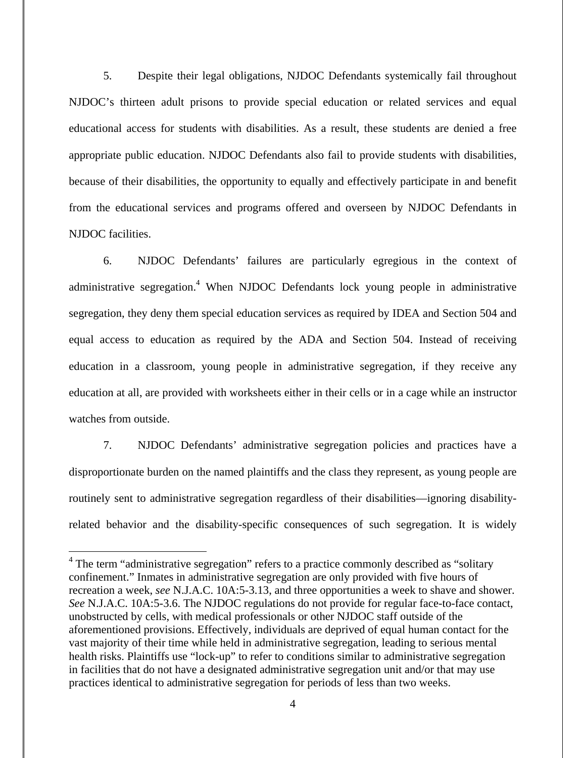5. Despite their legal obligations, NJDOC Defendants systemically fail throughout NJDOC's thirteen adult prisons to provide special education or related services and equal educational access for students with disabilities. As a result, these students are denied a free appropriate public education. NJDOC Defendants also fail to provide students with disabilities, because of their disabilities, the opportunity to equally and effectively participate in and benefit from the educational services and programs offered and overseen by NJDOC Defendants in NJDOC facilities.

6. NJDOC Defendants' failures are particularly egregious in the context of administrative segregation.<sup>4</sup> When NJDOC Defendants lock young people in administrative segregation, they deny them special education services as required by IDEA and Section 504 and equal access to education as required by the ADA and Section 504. Instead of receiving education in a classroom, young people in administrative segregation, if they receive any education at all, are provided with worksheets either in their cells or in a cage while an instructor watches from outside.

7. NJDOC Defendants' administrative segregation policies and practices have a disproportionate burden on the named plaintiffs and the class they represent, as young people are routinely sent to administrative segregation regardless of their disabilities—ignoring disabilityrelated behavior and the disability-specific consequences of such segregation. It is widely

<sup>&</sup>lt;sup>4</sup> The term "administrative segregation" refers to a practice commonly described as "solitary confinement." Inmates in administrative segregation are only provided with five hours of recreation a week, *see* N.J.A.C. 10A:5-3.13, and three opportunities a week to shave and shower. *See* N.J.A.C. 10A:5-3.6. The NJDOC regulations do not provide for regular face-to-face contact, unobstructed by cells, with medical professionals or other NJDOC staff outside of the aforementioned provisions. Effectively, individuals are deprived of equal human contact for the vast majority of their time while held in administrative segregation, leading to serious mental health risks. Plaintiffs use "lock-up" to refer to conditions similar to administrative segregation in facilities that do not have a designated administrative segregation unit and/or that may use practices identical to administrative segregation for periods of less than two weeks.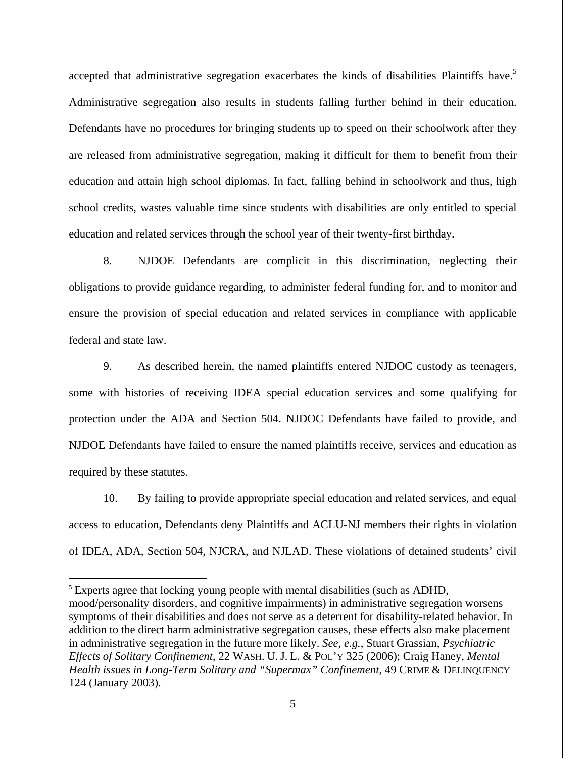accepted that administrative segregation exacerbates the kinds of disabilities Plaintiffs have.<sup>5</sup> Administrative segregation also results in students falling further behind in their education. Defendants have no procedures for bringing students up to speed on their schoolwork after they are released from administrative segregation, making it difficult for them to benefit from their education and attain high school diplomas. In fact, falling behind in schoolwork and thus, high school credits, wastes valuable time since students with disabilities are only entitled to special education and related services through the school year of their twenty-first birthday.

8. NJDOE Defendants are complicit in this discrimination, neglecting their obligations to provide guidance regarding, to administer federal funding for, and to monitor and ensure the provision of special education and related services in compliance with applicable federal and state law.

9. As described herein, the named plaintiffs entered NJDOC custody as teenagers, some with histories of receiving IDEA special education services and some qualifying for protection under the ADA and Section 504. NJDOC Defendants have failed to provide, and NJDOE Defendants have failed to ensure the named plaintiffs receive, services and education as required by these statutes.

10. By failing to provide appropriate special education and related services, and equal access to education, Defendants deny Plaintiffs and ACLU-NJ members their rights in violation of IDEA, ADA, Section 504, NJCRA, and NJLAD. These violations of detained students' civil

<sup>5</sup> Experts agree that locking young people with mental disabilities (such as ADHD, mood/personality disorders, and cognitive impairments) in administrative segregation worsens symptoms of their disabilities and does not serve as a deterrent for disability-related behavior. In addition to the direct harm administrative segregation causes, these effects also make placement in administrative segregation in the future more likely. *See, e.g.*, Stuart Grassian, *Psychiatric Effects of Solitary Confinement*, 22 WASH. U. J. L. & POL'Y 325 (2006); Craig Haney, *Mental Health issues in Long-Term Solitary and "Supermax" Confinement*, 49 CRIME & DELINQUENCY 124 (January 2003).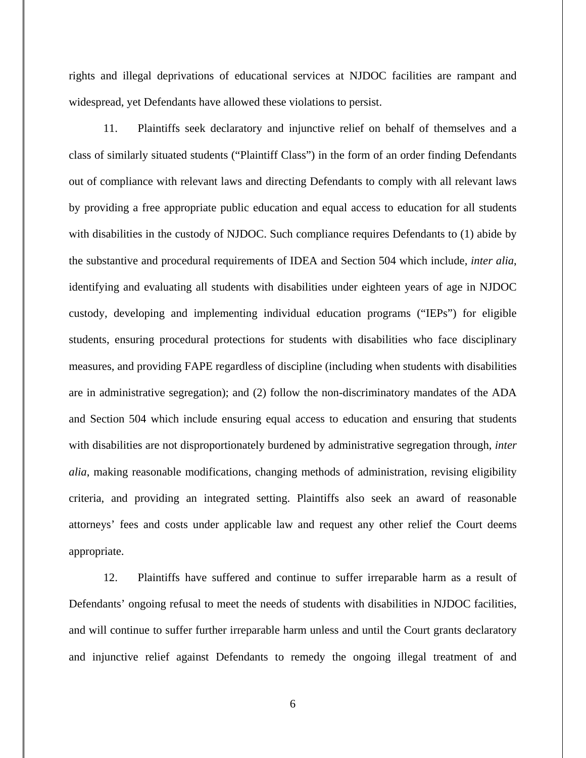rights and illegal deprivations of educational services at NJDOC facilities are rampant and widespread, yet Defendants have allowed these violations to persist.

11. Plaintiffs seek declaratory and injunctive relief on behalf of themselves and a class of similarly situated students ("Plaintiff Class") in the form of an order finding Defendants out of compliance with relevant laws and directing Defendants to comply with all relevant laws by providing a free appropriate public education and equal access to education for all students with disabilities in the custody of NJDOC. Such compliance requires Defendants to (1) abide by the substantive and procedural requirements of IDEA and Section 504 which include, *inter alia*, identifying and evaluating all students with disabilities under eighteen years of age in NJDOC custody, developing and implementing individual education programs ("IEPs") for eligible students, ensuring procedural protections for students with disabilities who face disciplinary measures, and providing FAPE regardless of discipline (including when students with disabilities are in administrative segregation); and (2) follow the non-discriminatory mandates of the ADA and Section 504 which include ensuring equal access to education and ensuring that students with disabilities are not disproportionately burdened by administrative segregation through, *inter alia*, making reasonable modifications, changing methods of administration, revising eligibility criteria, and providing an integrated setting. Plaintiffs also seek an award of reasonable attorneys' fees and costs under applicable law and request any other relief the Court deems appropriate.

12. Plaintiffs have suffered and continue to suffer irreparable harm as a result of Defendants' ongoing refusal to meet the needs of students with disabilities in NJDOC facilities, and will continue to suffer further irreparable harm unless and until the Court grants declaratory and injunctive relief against Defendants to remedy the ongoing illegal treatment of and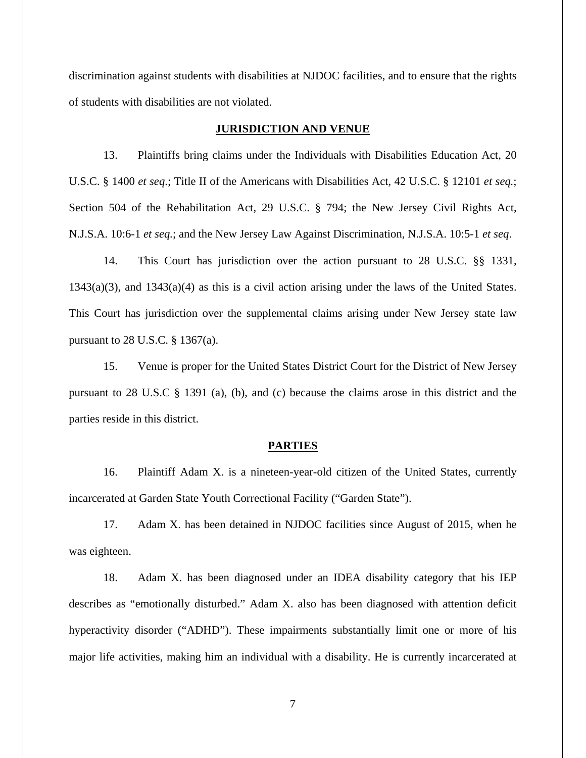discrimination against students with disabilities at NJDOC facilities, and to ensure that the rights of students with disabilities are not violated.

#### **JURISDICTION AND VENUE**

13. Plaintiffs bring claims under the Individuals with Disabilities Education Act, 20 U.S.C. § 1400 *et seq*.; Title II of the Americans with Disabilities Act, 42 U.S.C. § 12101 *et seq.*; Section 504 of the Rehabilitation Act, 29 U.S.C. § 794; the New Jersey Civil Rights Act, N.J.S.A. 10:6-1 *et seq.*; and the New Jersey Law Against Discrimination, N.J.S.A. 10:5-1 *et seq*.

14. This Court has jurisdiction over the action pursuant to 28 U.S.C. §§ 1331, 1343(a)(3), and 1343(a)(4) as this is a civil action arising under the laws of the United States. This Court has jurisdiction over the supplemental claims arising under New Jersey state law pursuant to 28 U.S.C. § 1367(a).

15. Venue is proper for the United States District Court for the District of New Jersey pursuant to 28 U.S.C § 1391 (a), (b), and (c) because the claims arose in this district and the parties reside in this district.

### **PARTIES**

16. Plaintiff Adam X. is a nineteen-year-old citizen of the United States, currently incarcerated at Garden State Youth Correctional Facility ("Garden State").

17. Adam X. has been detained in NJDOC facilities since August of 2015, when he was eighteen.

18. Adam X. has been diagnosed under an IDEA disability category that his IEP describes as "emotionally disturbed." Adam X. also has been diagnosed with attention deficit hyperactivity disorder ("ADHD"). These impairments substantially limit one or more of his major life activities, making him an individual with a disability. He is currently incarcerated at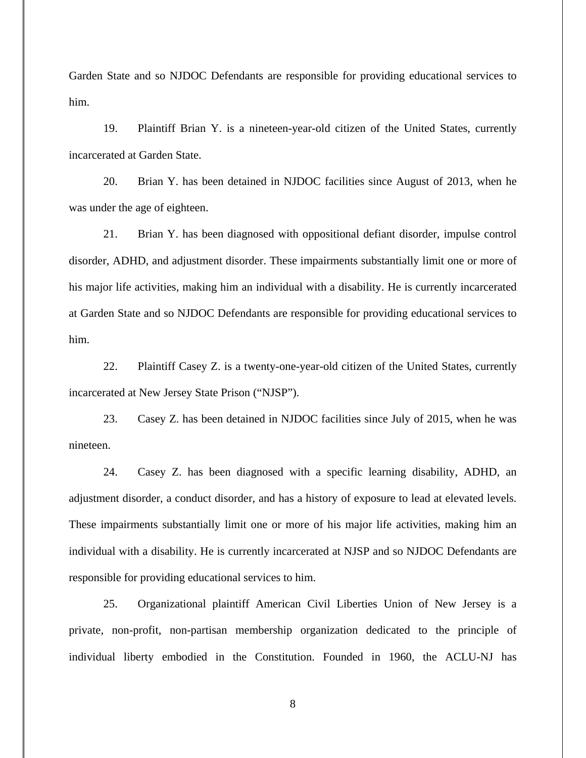Garden State and so NJDOC Defendants are responsible for providing educational services to him.

19. Plaintiff Brian Y. is a nineteen-year-old citizen of the United States, currently incarcerated at Garden State.

20. Brian Y. has been detained in NJDOC facilities since August of 2013, when he was under the age of eighteen.

21. Brian Y. has been diagnosed with oppositional defiant disorder, impulse control disorder, ADHD, and adjustment disorder. These impairments substantially limit one or more of his major life activities, making him an individual with a disability. He is currently incarcerated at Garden State and so NJDOC Defendants are responsible for providing educational services to him.

22. Plaintiff Casey Z. is a twenty-one-year-old citizen of the United States, currently incarcerated at New Jersey State Prison ("NJSP").

23. Casey Z. has been detained in NJDOC facilities since July of 2015, when he was nineteen.

24. Casey Z. has been diagnosed with a specific learning disability, ADHD, an adjustment disorder, a conduct disorder, and has a history of exposure to lead at elevated levels. These impairments substantially limit one or more of his major life activities, making him an individual with a disability. He is currently incarcerated at NJSP and so NJDOC Defendants are responsible for providing educational services to him.

25. Organizational plaintiff American Civil Liberties Union of New Jersey is a private, non-profit, non-partisan membership organization dedicated to the principle of individual liberty embodied in the Constitution. Founded in 1960, the ACLU-NJ has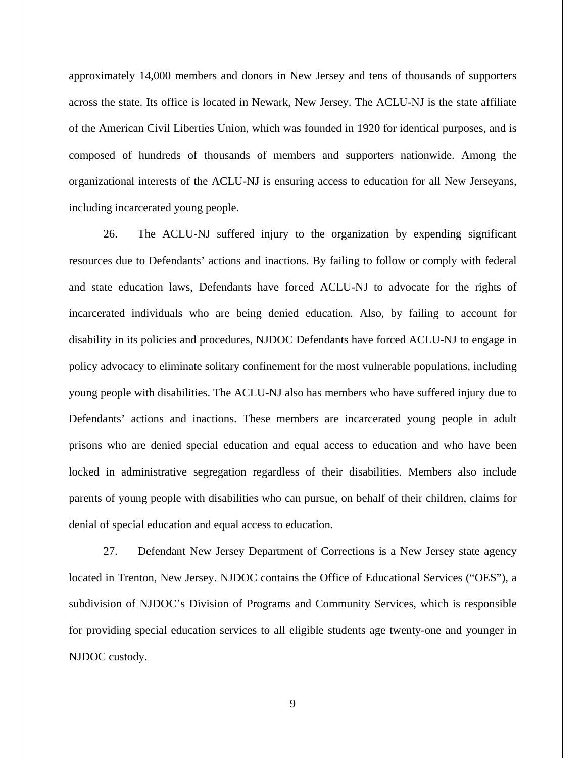approximately 14,000 members and donors in New Jersey and tens of thousands of supporters across the state. Its office is located in Newark, New Jersey. The ACLU-NJ is the state affiliate of the American Civil Liberties Union, which was founded in 1920 for identical purposes, and is composed of hundreds of thousands of members and supporters nationwide. Among the organizational interests of the ACLU-NJ is ensuring access to education for all New Jerseyans, including incarcerated young people.

26. The ACLU-NJ suffered injury to the organization by expending significant resources due to Defendants' actions and inactions. By failing to follow or comply with federal and state education laws, Defendants have forced ACLU-NJ to advocate for the rights of incarcerated individuals who are being denied education. Also, by failing to account for disability in its policies and procedures, NJDOC Defendants have forced ACLU-NJ to engage in policy advocacy to eliminate solitary confinement for the most vulnerable populations, including young people with disabilities. The ACLU-NJ also has members who have suffered injury due to Defendants' actions and inactions. These members are incarcerated young people in adult prisons who are denied special education and equal access to education and who have been locked in administrative segregation regardless of their disabilities. Members also include parents of young people with disabilities who can pursue, on behalf of their children, claims for denial of special education and equal access to education.

27. Defendant New Jersey Department of Corrections is a New Jersey state agency located in Trenton, New Jersey. NJDOC contains the Office of Educational Services ("OES"), a subdivision of NJDOC's Division of Programs and Community Services, which is responsible for providing special education services to all eligible students age twenty-one and younger in NJDOC custody.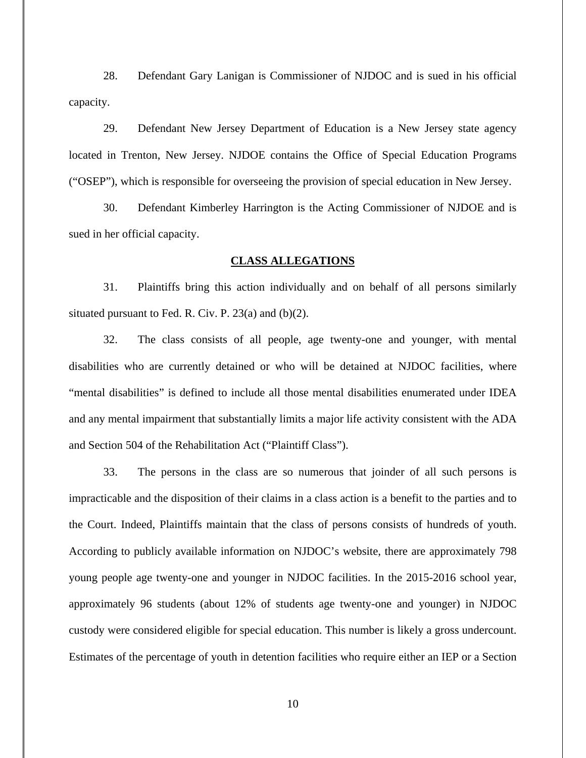28. Defendant Gary Lanigan is Commissioner of NJDOC and is sued in his official capacity.

29. Defendant New Jersey Department of Education is a New Jersey state agency located in Trenton, New Jersey. NJDOE contains the Office of Special Education Programs ("OSEP"), which is responsible for overseeing the provision of special education in New Jersey.

30. Defendant Kimberley Harrington is the Acting Commissioner of NJDOE and is sued in her official capacity.

### **CLASS ALLEGATIONS**

31. Plaintiffs bring this action individually and on behalf of all persons similarly situated pursuant to Fed. R. Civ. P. 23(a) and (b)(2).

32. The class consists of all people, age twenty-one and younger, with mental disabilities who are currently detained or who will be detained at NJDOC facilities, where "mental disabilities" is defined to include all those mental disabilities enumerated under IDEA and any mental impairment that substantially limits a major life activity consistent with the ADA and Section 504 of the Rehabilitation Act ("Plaintiff Class").

33. The persons in the class are so numerous that joinder of all such persons is impracticable and the disposition of their claims in a class action is a benefit to the parties and to the Court. Indeed, Plaintiffs maintain that the class of persons consists of hundreds of youth. According to publicly available information on NJDOC's website, there are approximately 798 young people age twenty-one and younger in NJDOC facilities. In the 2015-2016 school year, approximately 96 students (about 12% of students age twenty-one and younger) in NJDOC custody were considered eligible for special education. This number is likely a gross undercount. Estimates of the percentage of youth in detention facilities who require either an IEP or a Section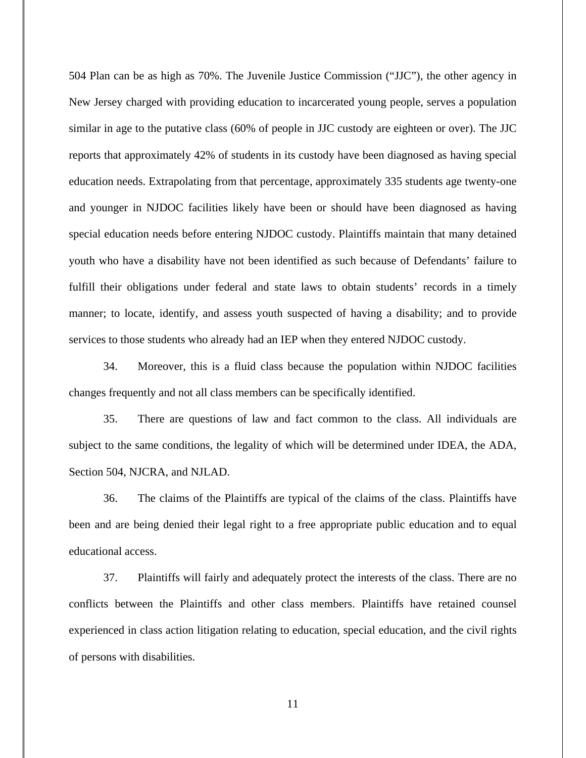504 Plan can be as high as 70%. The Juvenile Justice Commission ("JJC"), the other agency in New Jersey charged with providing education to incarcerated young people, serves a population similar in age to the putative class (60% of people in JJC custody are eighteen or over). The JJC reports that approximately 42% of students in its custody have been diagnosed as having special education needs. Extrapolating from that percentage, approximately 335 students age twenty-one and younger in NJDOC facilities likely have been or should have been diagnosed as having special education needs before entering NJDOC custody. Plaintiffs maintain that many detained youth who have a disability have not been identified as such because of Defendants' failure to fulfill their obligations under federal and state laws to obtain students' records in a timely manner; to locate, identify, and assess youth suspected of having a disability; and to provide services to those students who already had an IEP when they entered NJDOC custody.

34. Moreover, this is a fluid class because the population within NJDOC facilities changes frequently and not all class members can be specifically identified.

35. There are questions of law and fact common to the class. All individuals are subject to the same conditions, the legality of which will be determined under IDEA, the ADA, Section 504, NJCRA, and NJLAD.

36. The claims of the Plaintiffs are typical of the claims of the class. Plaintiffs have been and are being denied their legal right to a free appropriate public education and to equal educational access.

37. Plaintiffs will fairly and adequately protect the interests of the class. There are no conflicts between the Plaintiffs and other class members. Plaintiffs have retained counsel experienced in class action litigation relating to education, special education, and the civil rights of persons with disabilities.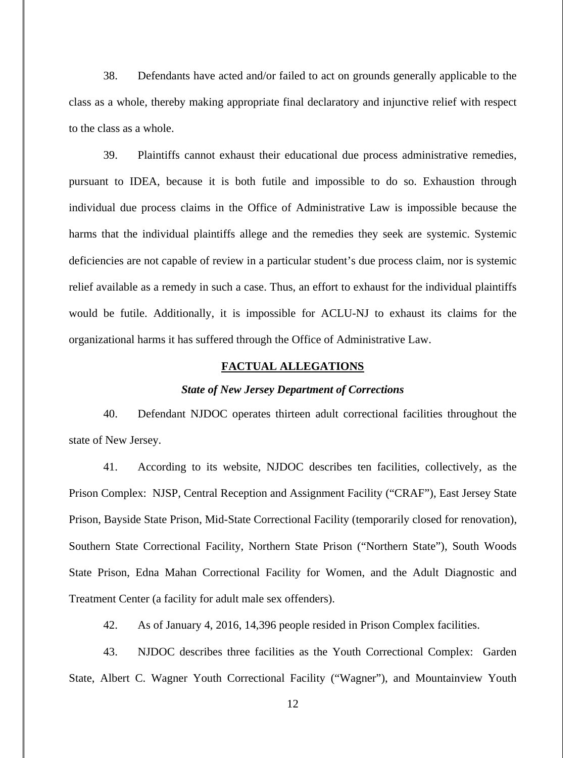38. Defendants have acted and/or failed to act on grounds generally applicable to the class as a whole, thereby making appropriate final declaratory and injunctive relief with respect to the class as a whole.

39. Plaintiffs cannot exhaust their educational due process administrative remedies, pursuant to IDEA, because it is both futile and impossible to do so. Exhaustion through individual due process claims in the Office of Administrative Law is impossible because the harms that the individual plaintiffs allege and the remedies they seek are systemic. Systemic deficiencies are not capable of review in a particular student's due process claim, nor is systemic relief available as a remedy in such a case. Thus, an effort to exhaust for the individual plaintiffs would be futile. Additionally, it is impossible for ACLU-NJ to exhaust its claims for the organizational harms it has suffered through the Office of Administrative Law.

## **FACTUAL ALLEGATIONS**

### *State of New Jersey Department of Corrections*

40. Defendant NJDOC operates thirteen adult correctional facilities throughout the state of New Jersey.

41. According to its website, NJDOC describes ten facilities, collectively, as the Prison Complex: NJSP, Central Reception and Assignment Facility ("CRAF"), East Jersey State Prison, Bayside State Prison, Mid-State Correctional Facility (temporarily closed for renovation), Southern State Correctional Facility, Northern State Prison ("Northern State"), South Woods State Prison, Edna Mahan Correctional Facility for Women, and the Adult Diagnostic and Treatment Center (a facility for adult male sex offenders).

42. As of January 4, 2016, 14,396 people resided in Prison Complex facilities.

43. NJDOC describes three facilities as the Youth Correctional Complex: Garden State, Albert C. Wagner Youth Correctional Facility ("Wagner"), and Mountainview Youth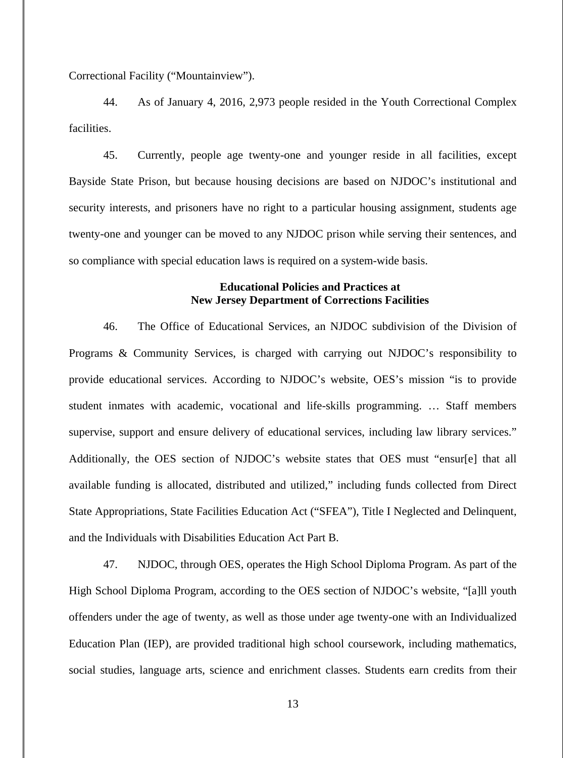Correctional Facility ("Mountainview").

44. As of January 4, 2016, 2,973 people resided in the Youth Correctional Complex **facilities** 

45. Currently, people age twenty-one and younger reside in all facilities, except Bayside State Prison, but because housing decisions are based on NJDOC's institutional and security interests, and prisoners have no right to a particular housing assignment, students age twenty-one and younger can be moved to any NJDOC prison while serving their sentences, and so compliance with special education laws is required on a system-wide basis.

# **Educational Policies and Practices at New Jersey Department of Corrections Facilities**

46. The Office of Educational Services, an NJDOC subdivision of the Division of Programs & Community Services, is charged with carrying out NJDOC's responsibility to provide educational services. According to NJDOC's website, OES's mission "is to provide student inmates with academic, vocational and life-skills programming. … Staff members supervise, support and ensure delivery of educational services, including law library services." Additionally, the OES section of NJDOC's website states that OES must "ensur[e] that all available funding is allocated, distributed and utilized," including funds collected from Direct State Appropriations, State Facilities Education Act ("SFEA"), Title I Neglected and Delinquent, and the Individuals with Disabilities Education Act Part B.

47. NJDOC, through OES, operates the High School Diploma Program. As part of the High School Diploma Program, according to the OES section of NJDOC's website, "[a]ll youth offenders under the age of twenty, as well as those under age twenty-one with an Individualized Education Plan (IEP), are provided traditional high school coursework, including mathematics, social studies, language arts, science and enrichment classes. Students earn credits from their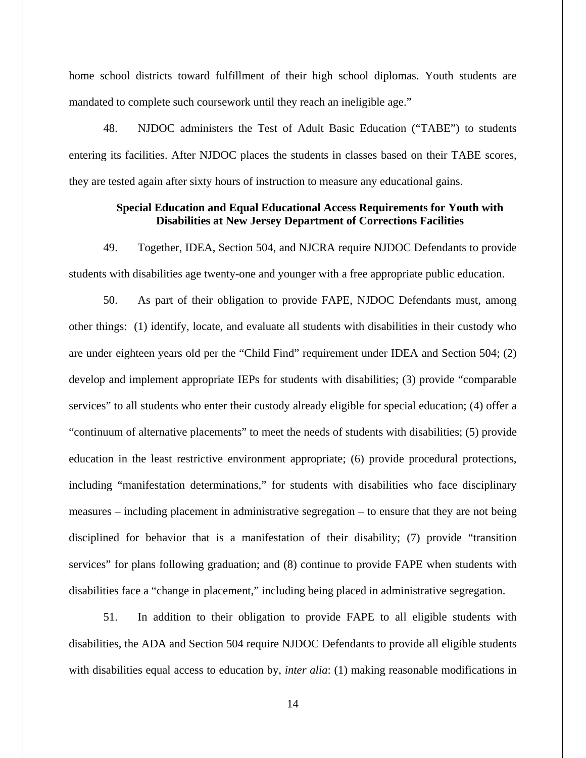home school districts toward fulfillment of their high school diplomas. Youth students are mandated to complete such coursework until they reach an ineligible age."

48. NJDOC administers the Test of Adult Basic Education ("TABE") to students entering its facilities. After NJDOC places the students in classes based on their TABE scores, they are tested again after sixty hours of instruction to measure any educational gains.

# **Special Education and Equal Educational Access Requirements for Youth with Disabilities at New Jersey Department of Corrections Facilities**

49. Together, IDEA, Section 504, and NJCRA require NJDOC Defendants to provide students with disabilities age twenty-one and younger with a free appropriate public education.

50. As part of their obligation to provide FAPE, NJDOC Defendants must, among other things: (1) identify, locate, and evaluate all students with disabilities in their custody who are under eighteen years old per the "Child Find" requirement under IDEA and Section 504; (2) develop and implement appropriate IEPs for students with disabilities; (3) provide "comparable services" to all students who enter their custody already eligible for special education; (4) offer a "continuum of alternative placements" to meet the needs of students with disabilities; (5) provide education in the least restrictive environment appropriate; (6) provide procedural protections, including "manifestation determinations," for students with disabilities who face disciplinary measures – including placement in administrative segregation – to ensure that they are not being disciplined for behavior that is a manifestation of their disability; (7) provide "transition services" for plans following graduation; and  $(8)$  continue to provide FAPE when students with disabilities face a "change in placement," including being placed in administrative segregation.

51. In addition to their obligation to provide FAPE to all eligible students with disabilities, the ADA and Section 504 require NJDOC Defendants to provide all eligible students with disabilities equal access to education by, *inter alia*: (1) making reasonable modifications in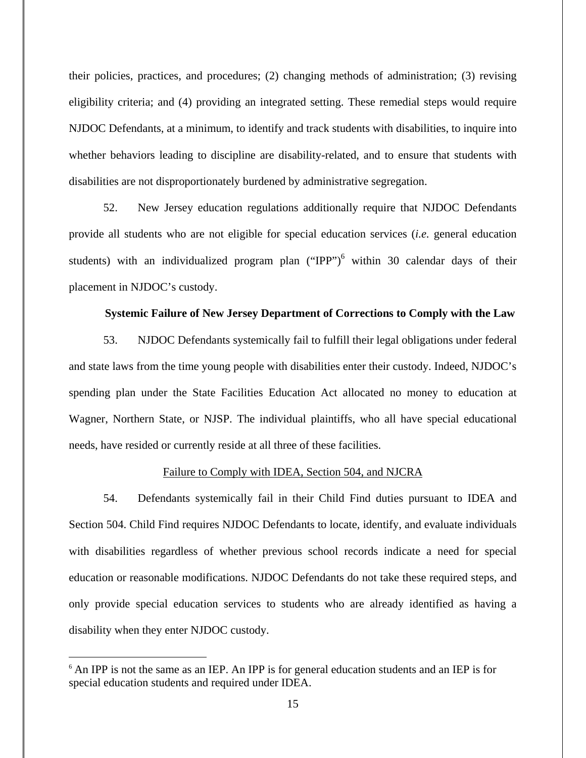their policies, practices, and procedures; (2) changing methods of administration; (3) revising eligibility criteria; and (4) providing an integrated setting. These remedial steps would require NJDOC Defendants, at a minimum, to identify and track students with disabilities, to inquire into whether behaviors leading to discipline are disability-related, and to ensure that students with disabilities are not disproportionately burdened by administrative segregation.

52. New Jersey education regulations additionally require that NJDOC Defendants provide all students who are not eligible for special education services (*i.e.* general education students) with an individualized program plan  $("IPP")^6$  within 30 calendar days of their placement in NJDOC's custody.

## **Systemic Failure of New Jersey Department of Corrections to Comply with the Law**

53. NJDOC Defendants systemically fail to fulfill their legal obligations under federal and state laws from the time young people with disabilities enter their custody. Indeed, NJDOC's spending plan under the State Facilities Education Act allocated no money to education at Wagner, Northern State, or NJSP. The individual plaintiffs, who all have special educational needs, have resided or currently reside at all three of these facilities.

## Failure to Comply with IDEA, Section 504, and NJCRA

54. Defendants systemically fail in their Child Find duties pursuant to IDEA and Section 504. Child Find requires NJDOC Defendants to locate, identify, and evaluate individuals with disabilities regardless of whether previous school records indicate a need for special education or reasonable modifications. NJDOC Defendants do not take these required steps, and only provide special education services to students who are already identified as having a disability when they enter NJDOC custody.

<sup>&</sup>lt;sup>6</sup> An IPP is not the same as an IEP. An IPP is for general education students and an IEP is for special education students and required under IDEA.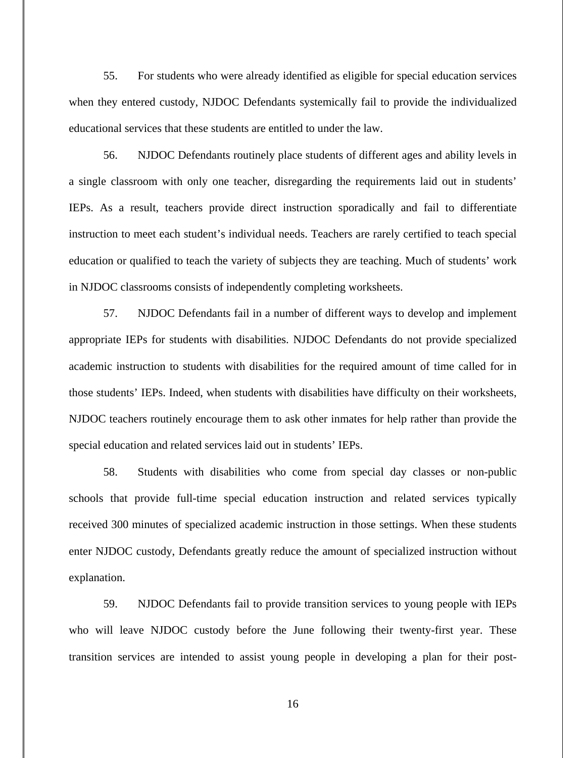55. For students who were already identified as eligible for special education services when they entered custody, NJDOC Defendants systemically fail to provide the individualized educational services that these students are entitled to under the law.

56. NJDOC Defendants routinely place students of different ages and ability levels in a single classroom with only one teacher, disregarding the requirements laid out in students' IEPs. As a result, teachers provide direct instruction sporadically and fail to differentiate instruction to meet each student's individual needs. Teachers are rarely certified to teach special education or qualified to teach the variety of subjects they are teaching. Much of students' work in NJDOC classrooms consists of independently completing worksheets.

57. NJDOC Defendants fail in a number of different ways to develop and implement appropriate IEPs for students with disabilities. NJDOC Defendants do not provide specialized academic instruction to students with disabilities for the required amount of time called for in those students' IEPs. Indeed, when students with disabilities have difficulty on their worksheets, NJDOC teachers routinely encourage them to ask other inmates for help rather than provide the special education and related services laid out in students' IEPs.

58. Students with disabilities who come from special day classes or non-public schools that provide full-time special education instruction and related services typically received 300 minutes of specialized academic instruction in those settings. When these students enter NJDOC custody, Defendants greatly reduce the amount of specialized instruction without explanation.

59. NJDOC Defendants fail to provide transition services to young people with IEPs who will leave NJDOC custody before the June following their twenty-first year. These transition services are intended to assist young people in developing a plan for their post-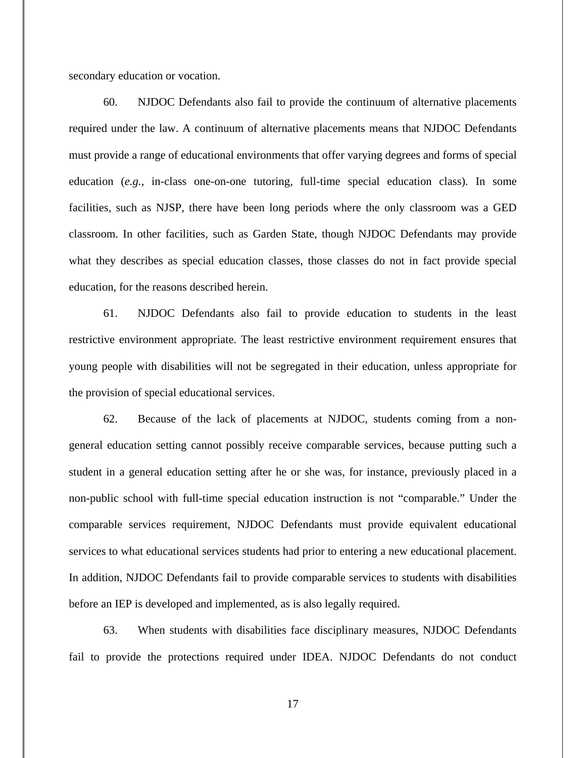secondary education or vocation.

60. NJDOC Defendants also fail to provide the continuum of alternative placements required under the law. A continuum of alternative placements means that NJDOC Defendants must provide a range of educational environments that offer varying degrees and forms of special education (*e.g.*, in-class one-on-one tutoring, full-time special education class). In some facilities, such as NJSP, there have been long periods where the only classroom was a GED classroom. In other facilities, such as Garden State, though NJDOC Defendants may provide what they describes as special education classes, those classes do not in fact provide special education, for the reasons described herein.

61. NJDOC Defendants also fail to provide education to students in the least restrictive environment appropriate. The least restrictive environment requirement ensures that young people with disabilities will not be segregated in their education, unless appropriate for the provision of special educational services.

62. Because of the lack of placements at NJDOC, students coming from a nongeneral education setting cannot possibly receive comparable services, because putting such a student in a general education setting after he or she was, for instance, previously placed in a non-public school with full-time special education instruction is not "comparable." Under the comparable services requirement, NJDOC Defendants must provide equivalent educational services to what educational services students had prior to entering a new educational placement. In addition, NJDOC Defendants fail to provide comparable services to students with disabilities before an IEP is developed and implemented, as is also legally required.

63. When students with disabilities face disciplinary measures, NJDOC Defendants fail to provide the protections required under IDEA. NJDOC Defendants do not conduct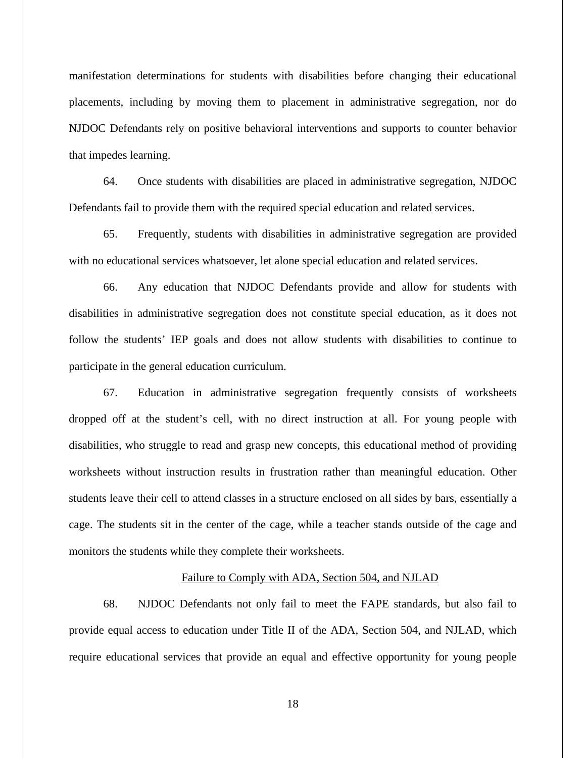manifestation determinations for students with disabilities before changing their educational placements, including by moving them to placement in administrative segregation, nor do NJDOC Defendants rely on positive behavioral interventions and supports to counter behavior that impedes learning.

64. Once students with disabilities are placed in administrative segregation, NJDOC Defendants fail to provide them with the required special education and related services.

65. Frequently, students with disabilities in administrative segregation are provided with no educational services whatsoever, let alone special education and related services.

66. Any education that NJDOC Defendants provide and allow for students with disabilities in administrative segregation does not constitute special education, as it does not follow the students' IEP goals and does not allow students with disabilities to continue to participate in the general education curriculum.

67. Education in administrative segregation frequently consists of worksheets dropped off at the student's cell, with no direct instruction at all. For young people with disabilities, who struggle to read and grasp new concepts, this educational method of providing worksheets without instruction results in frustration rather than meaningful education. Other students leave their cell to attend classes in a structure enclosed on all sides by bars, essentially a cage. The students sit in the center of the cage, while a teacher stands outside of the cage and monitors the students while they complete their worksheets.

## Failure to Comply with ADA, Section 504, and NJLAD

68. NJDOC Defendants not only fail to meet the FAPE standards, but also fail to provide equal access to education under Title II of the ADA, Section 504, and NJLAD, which require educational services that provide an equal and effective opportunity for young people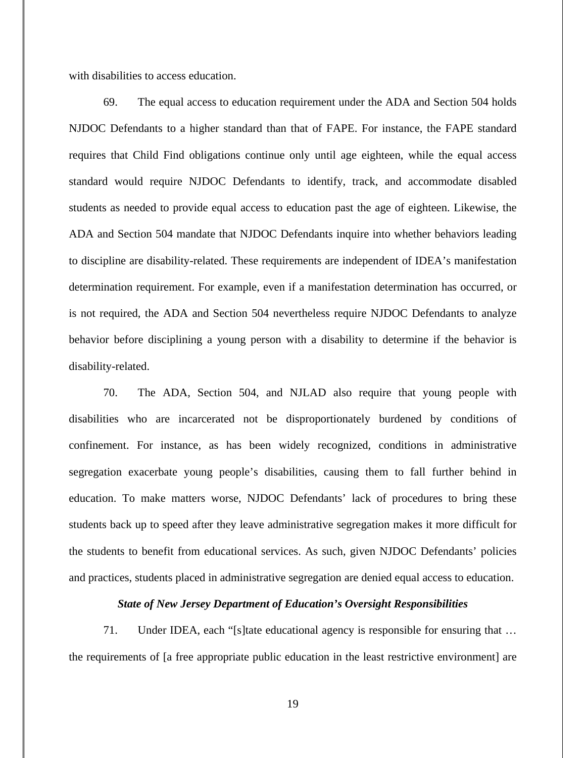with disabilities to access education.

69. The equal access to education requirement under the ADA and Section 504 holds NJDOC Defendants to a higher standard than that of FAPE. For instance, the FAPE standard requires that Child Find obligations continue only until age eighteen, while the equal access standard would require NJDOC Defendants to identify, track, and accommodate disabled students as needed to provide equal access to education past the age of eighteen. Likewise, the ADA and Section 504 mandate that NJDOC Defendants inquire into whether behaviors leading to discipline are disability-related. These requirements are independent of IDEA's manifestation determination requirement. For example, even if a manifestation determination has occurred, or is not required, the ADA and Section 504 nevertheless require NJDOC Defendants to analyze behavior before disciplining a young person with a disability to determine if the behavior is disability-related.

70. The ADA, Section 504, and NJLAD also require that young people with disabilities who are incarcerated not be disproportionately burdened by conditions of confinement. For instance, as has been widely recognized, conditions in administrative segregation exacerbate young people's disabilities, causing them to fall further behind in education. To make matters worse, NJDOC Defendants' lack of procedures to bring these students back up to speed after they leave administrative segregation makes it more difficult for the students to benefit from educational services. As such, given NJDOC Defendants' policies and practices, students placed in administrative segregation are denied equal access to education.

# *State of New Jersey Department of Education's Oversight Responsibilities*

71. Under IDEA, each "[s]tate educational agency is responsible for ensuring that … the requirements of [a free appropriate public education in the least restrictive environment] are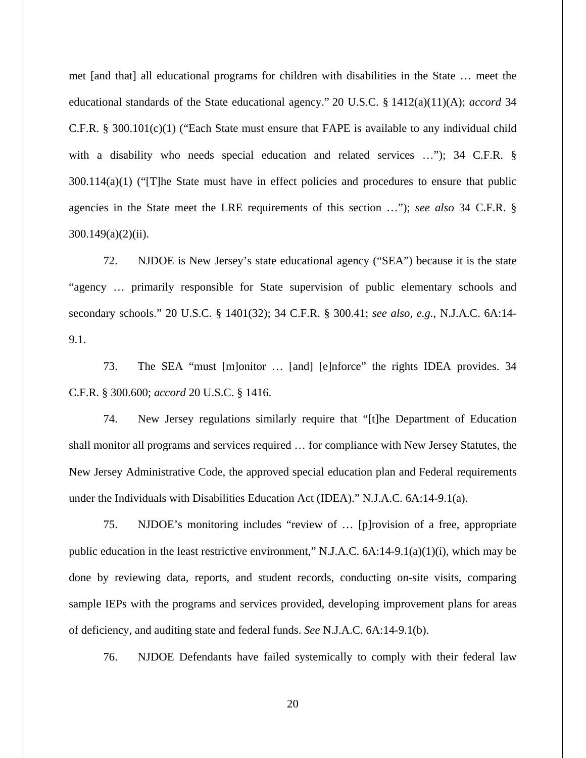met [and that] all educational programs for children with disabilities in the State … meet the educational standards of the State educational agency." 20 U.S.C. § 1412(a)(11)(A); *accord* 34 C.F.R. § 300.101(c)(1) ("Each State must ensure that FAPE is available to any individual child with a disability who needs special education and related services ..."); 34 C.F.R. §  $300.114(a)(1)$  ("The State must have in effect policies and procedures to ensure that public agencies in the State meet the LRE requirements of this section …"); *see also* 34 C.F.R. §  $300.149(a)(2)(ii)$ .

72. NJDOE is New Jersey's state educational agency ("SEA") because it is the state "agency … primarily responsible for State supervision of public elementary schools and secondary schools." 20 U.S.C. § 1401(32); 34 C.F.R. § 300.41; *see also, e.g.*, N.J.A.C. 6A:14- 9.1.

73. The SEA "must [m]onitor … [and] [e]nforce" the rights IDEA provides. 34 C.F.R. § 300.600; *accord* 20 U.S.C. § 1416.

74. New Jersey regulations similarly require that "[t]he Department of Education shall monitor all programs and services required … for compliance with New Jersey Statutes, the New Jersey Administrative Code, the approved special education plan and Federal requirements under the Individuals with Disabilities Education Act (IDEA)." N.J.A.C. 6A:14-9.1(a).

75. NJDOE's monitoring includes "review of … [p]rovision of a free, appropriate public education in the least restrictive environment," N.J.A.C.  $6A:14-9.1(a)(1)(i)$ , which may be done by reviewing data, reports, and student records, conducting on-site visits, comparing sample IEPs with the programs and services provided, developing improvement plans for areas of deficiency, and auditing state and federal funds. *See* N.J.A.C. 6A:14-9.1(b).

76. NJDOE Defendants have failed systemically to comply with their federal law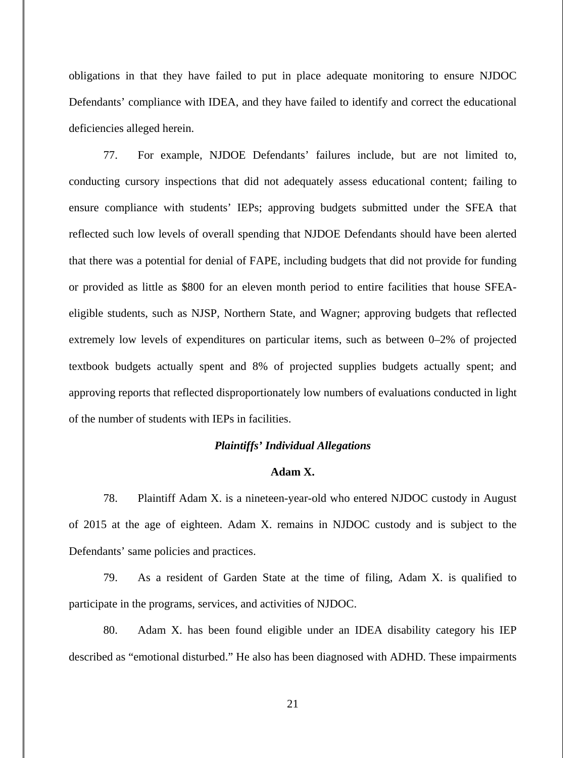obligations in that they have failed to put in place adequate monitoring to ensure NJDOC Defendants' compliance with IDEA, and they have failed to identify and correct the educational deficiencies alleged herein.

77. For example, NJDOE Defendants' failures include, but are not limited to, conducting cursory inspections that did not adequately assess educational content; failing to ensure compliance with students' IEPs; approving budgets submitted under the SFEA that reflected such low levels of overall spending that NJDOE Defendants should have been alerted that there was a potential for denial of FAPE, including budgets that did not provide for funding or provided as little as \$800 for an eleven month period to entire facilities that house SFEAeligible students, such as NJSP, Northern State, and Wagner; approving budgets that reflected extremely low levels of expenditures on particular items, such as between 0–2% of projected textbook budgets actually spent and 8% of projected supplies budgets actually spent; and approving reports that reflected disproportionately low numbers of evaluations conducted in light of the number of students with IEPs in facilities.

## *Plaintiffs' Individual Allegations*

## **Adam X.**

78. Plaintiff Adam X. is a nineteen-year-old who entered NJDOC custody in August of 2015 at the age of eighteen. Adam X. remains in NJDOC custody and is subject to the Defendants' same policies and practices.

79. As a resident of Garden State at the time of filing, Adam X. is qualified to participate in the programs, services, and activities of NJDOC.

80. Adam X. has been found eligible under an IDEA disability category his IEP described as "emotional disturbed." He also has been diagnosed with ADHD. These impairments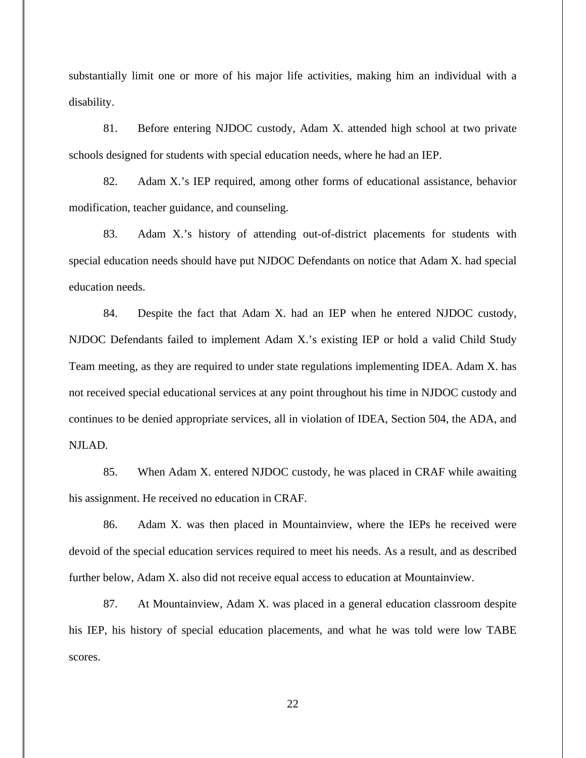substantially limit one or more of his major life activities, making him an individual with a disability.

81. Before entering NJDOC custody, Adam X. attended high school at two private schools designed for students with special education needs, where he had an IEP.

82. Adam X.'s IEP required, among other forms of educational assistance, behavior modification, teacher guidance, and counseling.

83. Adam X.'s history of attending out-of-district placements for students with special education needs should have put NJDOC Defendants on notice that Adam X. had special education needs.

84. Despite the fact that Adam X. had an IEP when he entered NJDOC custody, NJDOC Defendants failed to implement Adam X.'s existing IEP or hold a valid Child Study Team meeting, as they are required to under state regulations implementing IDEA. Adam X. has not received special educational services at any point throughout his time in NJDOC custody and continues to be denied appropriate services, all in violation of IDEA, Section 504, the ADA, and NJLAD.

85. When Adam X. entered NJDOC custody, he was placed in CRAF while awaiting his assignment. He received no education in CRAF.

86. Adam X. was then placed in Mountainview, where the IEPs he received were devoid of the special education services required to meet his needs. As a result, and as described further below, Adam X. also did not receive equal access to education at Mountainview.

87. At Mountainview, Adam X. was placed in a general education classroom despite his IEP, his history of special education placements, and what he was told were low TABE scores.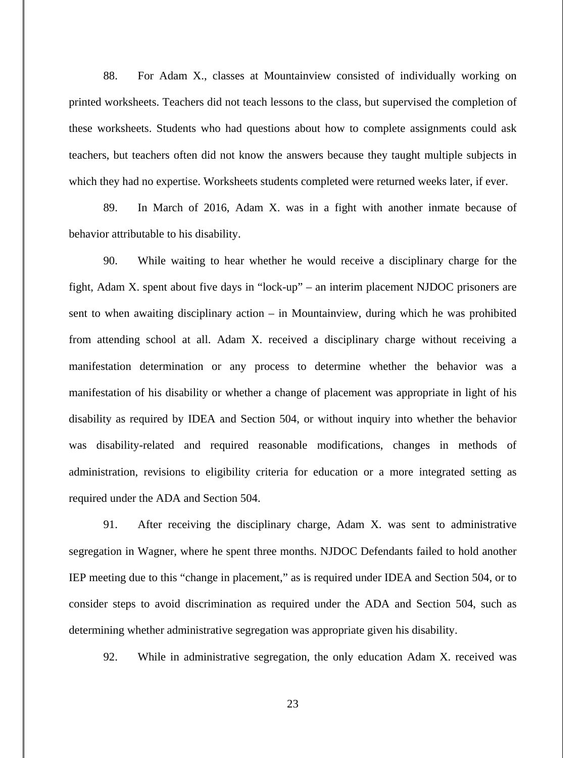88. For Adam X., classes at Mountainview consisted of individually working on printed worksheets. Teachers did not teach lessons to the class, but supervised the completion of these worksheets. Students who had questions about how to complete assignments could ask teachers, but teachers often did not know the answers because they taught multiple subjects in which they had no expertise. Worksheets students completed were returned weeks later, if ever.

89. In March of 2016, Adam X. was in a fight with another inmate because of behavior attributable to his disability.

90. While waiting to hear whether he would receive a disciplinary charge for the fight, Adam X. spent about five days in "lock-up" – an interim placement NJDOC prisoners are sent to when awaiting disciplinary action – in Mountainview, during which he was prohibited from attending school at all. Adam X. received a disciplinary charge without receiving a manifestation determination or any process to determine whether the behavior was a manifestation of his disability or whether a change of placement was appropriate in light of his disability as required by IDEA and Section 504, or without inquiry into whether the behavior was disability-related and required reasonable modifications, changes in methods of administration, revisions to eligibility criteria for education or a more integrated setting as required under the ADA and Section 504.

91. After receiving the disciplinary charge, Adam X. was sent to administrative segregation in Wagner, where he spent three months. NJDOC Defendants failed to hold another IEP meeting due to this "change in placement," as is required under IDEA and Section 504, or to consider steps to avoid discrimination as required under the ADA and Section 504, such as determining whether administrative segregation was appropriate given his disability.

92. While in administrative segregation, the only education Adam X. received was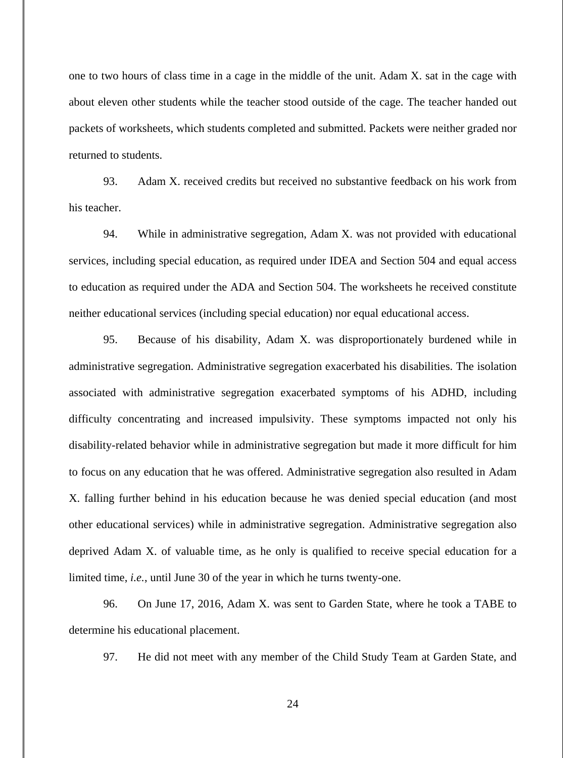one to two hours of class time in a cage in the middle of the unit. Adam X. sat in the cage with about eleven other students while the teacher stood outside of the cage. The teacher handed out packets of worksheets, which students completed and submitted. Packets were neither graded nor returned to students.

93. Adam X. received credits but received no substantive feedback on his work from his teacher.

94. While in administrative segregation, Adam X. was not provided with educational services, including special education, as required under IDEA and Section 504 and equal access to education as required under the ADA and Section 504. The worksheets he received constitute neither educational services (including special education) nor equal educational access.

95. Because of his disability, Adam X. was disproportionately burdened while in administrative segregation. Administrative segregation exacerbated his disabilities. The isolation associated with administrative segregation exacerbated symptoms of his ADHD, including difficulty concentrating and increased impulsivity. These symptoms impacted not only his disability-related behavior while in administrative segregation but made it more difficult for him to focus on any education that he was offered. Administrative segregation also resulted in Adam X. falling further behind in his education because he was denied special education (and most other educational services) while in administrative segregation. Administrative segregation also deprived Adam X. of valuable time, as he only is qualified to receive special education for a limited time, *i.e.*, until June 30 of the year in which he turns twenty-one.

96. On June 17, 2016, Adam X. was sent to Garden State, where he took a TABE to determine his educational placement.

97. He did not meet with any member of the Child Study Team at Garden State, and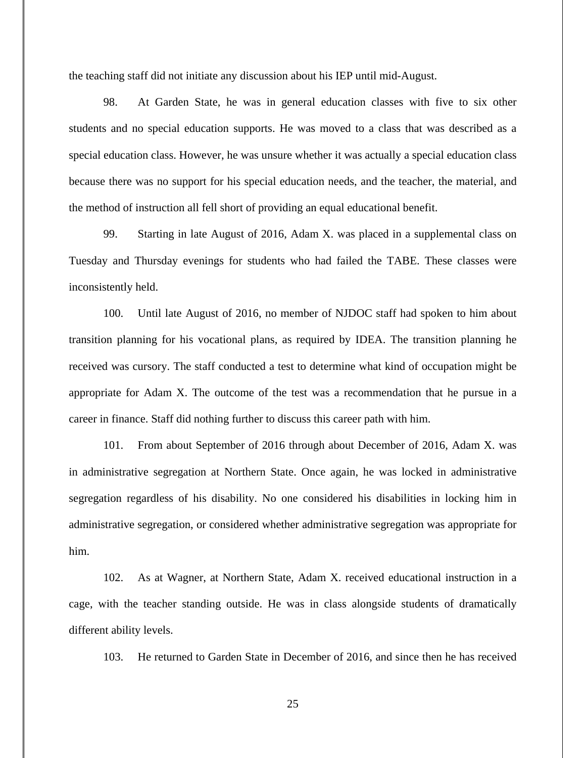the teaching staff did not initiate any discussion about his IEP until mid-August.

98. At Garden State, he was in general education classes with five to six other students and no special education supports. He was moved to a class that was described as a special education class. However, he was unsure whether it was actually a special education class because there was no support for his special education needs, and the teacher, the material, and the method of instruction all fell short of providing an equal educational benefit.

99. Starting in late August of 2016, Adam X. was placed in a supplemental class on Tuesday and Thursday evenings for students who had failed the TABE. These classes were inconsistently held.

100. Until late August of 2016, no member of NJDOC staff had spoken to him about transition planning for his vocational plans, as required by IDEA. The transition planning he received was cursory. The staff conducted a test to determine what kind of occupation might be appropriate for Adam X. The outcome of the test was a recommendation that he pursue in a career in finance. Staff did nothing further to discuss this career path with him.

101. From about September of 2016 through about December of 2016, Adam X. was in administrative segregation at Northern State. Once again, he was locked in administrative segregation regardless of his disability. No one considered his disabilities in locking him in administrative segregation, or considered whether administrative segregation was appropriate for him.

102. As at Wagner, at Northern State, Adam X. received educational instruction in a cage, with the teacher standing outside. He was in class alongside students of dramatically different ability levels.

103. He returned to Garden State in December of 2016, and since then he has received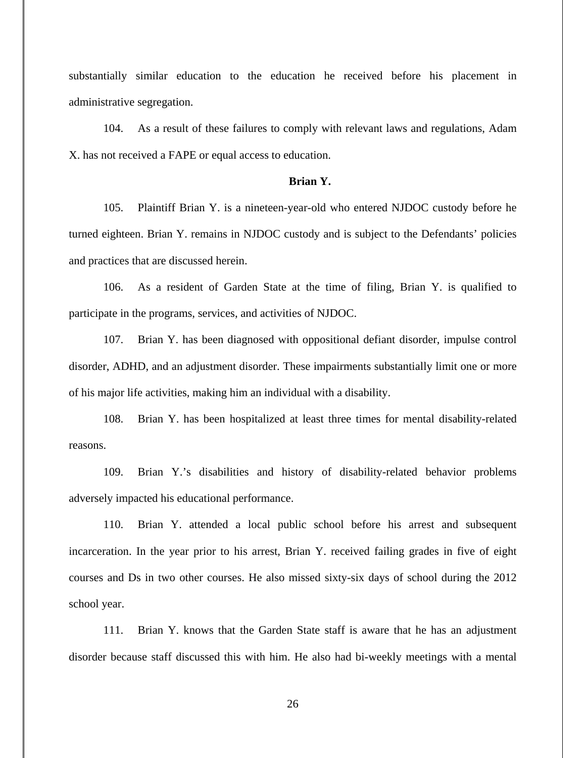substantially similar education to the education he received before his placement in administrative segregation.

104. As a result of these failures to comply with relevant laws and regulations, Adam X. has not received a FAPE or equal access to education.

## **Brian Y.**

105. Plaintiff Brian Y. is a nineteen-year-old who entered NJDOC custody before he turned eighteen. Brian Y. remains in NJDOC custody and is subject to the Defendants' policies and practices that are discussed herein.

106. As a resident of Garden State at the time of filing, Brian Y. is qualified to participate in the programs, services, and activities of NJDOC.

107. Brian Y. has been diagnosed with oppositional defiant disorder, impulse control disorder, ADHD, and an adjustment disorder. These impairments substantially limit one or more of his major life activities, making him an individual with a disability.

108. Brian Y. has been hospitalized at least three times for mental disability-related reasons.

109. Brian Y.'s disabilities and history of disability-related behavior problems adversely impacted his educational performance.

110. Brian Y. attended a local public school before his arrest and subsequent incarceration. In the year prior to his arrest, Brian Y. received failing grades in five of eight courses and Ds in two other courses. He also missed sixty-six days of school during the 2012 school year.

111. Brian Y. knows that the Garden State staff is aware that he has an adjustment disorder because staff discussed this with him. He also had bi-weekly meetings with a mental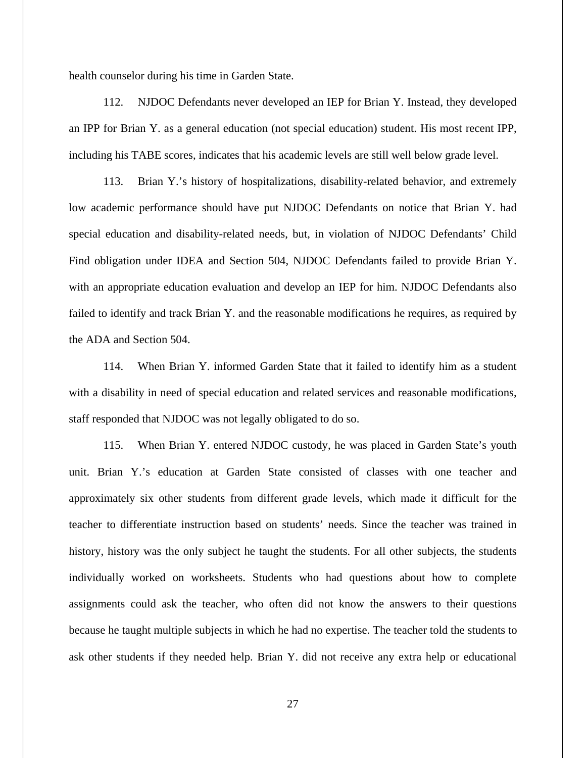health counselor during his time in Garden State.

112. NJDOC Defendants never developed an IEP for Brian Y. Instead, they developed an IPP for Brian Y. as a general education (not special education) student. His most recent IPP, including his TABE scores, indicates that his academic levels are still well below grade level.

113. Brian Y.'s history of hospitalizations, disability-related behavior, and extremely low academic performance should have put NJDOC Defendants on notice that Brian Y. had special education and disability-related needs, but, in violation of NJDOC Defendants' Child Find obligation under IDEA and Section 504, NJDOC Defendants failed to provide Brian Y. with an appropriate education evaluation and develop an IEP for him. NJDOC Defendants also failed to identify and track Brian Y. and the reasonable modifications he requires, as required by the ADA and Section 504.

114. When Brian Y. informed Garden State that it failed to identify him as a student with a disability in need of special education and related services and reasonable modifications, staff responded that NJDOC was not legally obligated to do so.

115. When Brian Y. entered NJDOC custody, he was placed in Garden State's youth unit. Brian Y.'s education at Garden State consisted of classes with one teacher and approximately six other students from different grade levels, which made it difficult for the teacher to differentiate instruction based on students' needs. Since the teacher was trained in history, history was the only subject he taught the students. For all other subjects, the students individually worked on worksheets. Students who had questions about how to complete assignments could ask the teacher, who often did not know the answers to their questions because he taught multiple subjects in which he had no expertise. The teacher told the students to ask other students if they needed help. Brian Y. did not receive any extra help or educational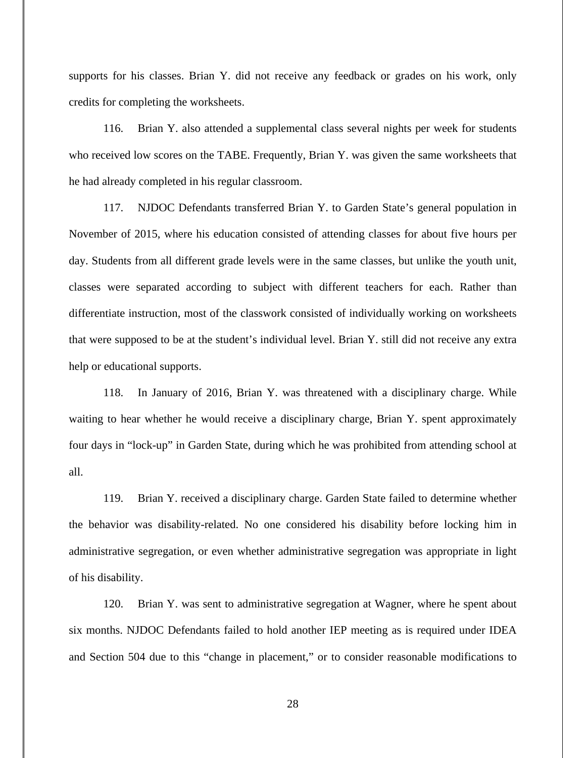supports for his classes. Brian Y. did not receive any feedback or grades on his work, only credits for completing the worksheets.

116. Brian Y. also attended a supplemental class several nights per week for students who received low scores on the TABE. Frequently, Brian Y. was given the same worksheets that he had already completed in his regular classroom.

117. NJDOC Defendants transferred Brian Y. to Garden State's general population in November of 2015, where his education consisted of attending classes for about five hours per day. Students from all different grade levels were in the same classes, but unlike the youth unit, classes were separated according to subject with different teachers for each. Rather than differentiate instruction, most of the classwork consisted of individually working on worksheets that were supposed to be at the student's individual level. Brian Y. still did not receive any extra help or educational supports.

118. In January of 2016, Brian Y. was threatened with a disciplinary charge. While waiting to hear whether he would receive a disciplinary charge, Brian Y. spent approximately four days in "lock-up" in Garden State, during which he was prohibited from attending school at all.

119. Brian Y. received a disciplinary charge. Garden State failed to determine whether the behavior was disability-related. No one considered his disability before locking him in administrative segregation, or even whether administrative segregation was appropriate in light of his disability.

120. Brian Y. was sent to administrative segregation at Wagner, where he spent about six months. NJDOC Defendants failed to hold another IEP meeting as is required under IDEA and Section 504 due to this "change in placement," or to consider reasonable modifications to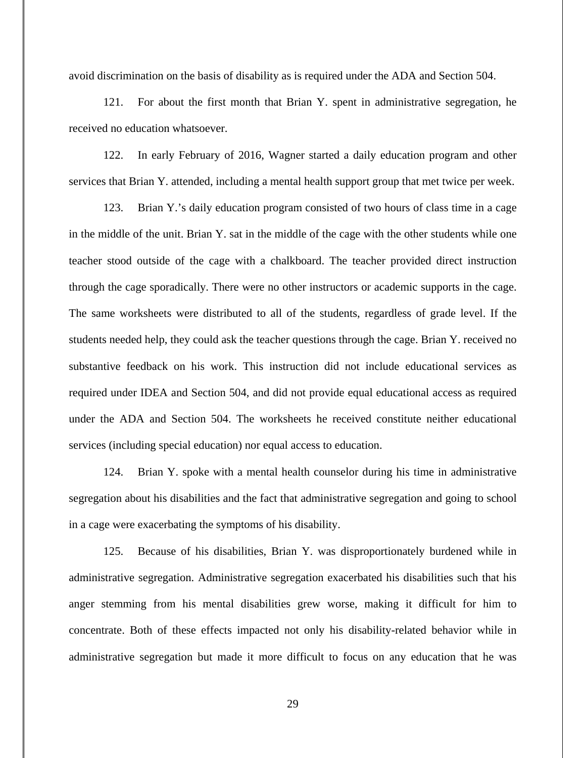avoid discrimination on the basis of disability as is required under the ADA and Section 504.

121. For about the first month that Brian Y. spent in administrative segregation, he received no education whatsoever.

122. In early February of 2016, Wagner started a daily education program and other services that Brian Y. attended, including a mental health support group that met twice per week.

123. Brian Y.'s daily education program consisted of two hours of class time in a cage in the middle of the unit. Brian Y. sat in the middle of the cage with the other students while one teacher stood outside of the cage with a chalkboard. The teacher provided direct instruction through the cage sporadically. There were no other instructors or academic supports in the cage. The same worksheets were distributed to all of the students, regardless of grade level. If the students needed help, they could ask the teacher questions through the cage. Brian Y. received no substantive feedback on his work. This instruction did not include educational services as required under IDEA and Section 504, and did not provide equal educational access as required under the ADA and Section 504. The worksheets he received constitute neither educational services (including special education) nor equal access to education.

124. Brian Y. spoke with a mental health counselor during his time in administrative segregation about his disabilities and the fact that administrative segregation and going to school in a cage were exacerbating the symptoms of his disability.

125. Because of his disabilities, Brian Y. was disproportionately burdened while in administrative segregation. Administrative segregation exacerbated his disabilities such that his anger stemming from his mental disabilities grew worse, making it difficult for him to concentrate. Both of these effects impacted not only his disability-related behavior while in administrative segregation but made it more difficult to focus on any education that he was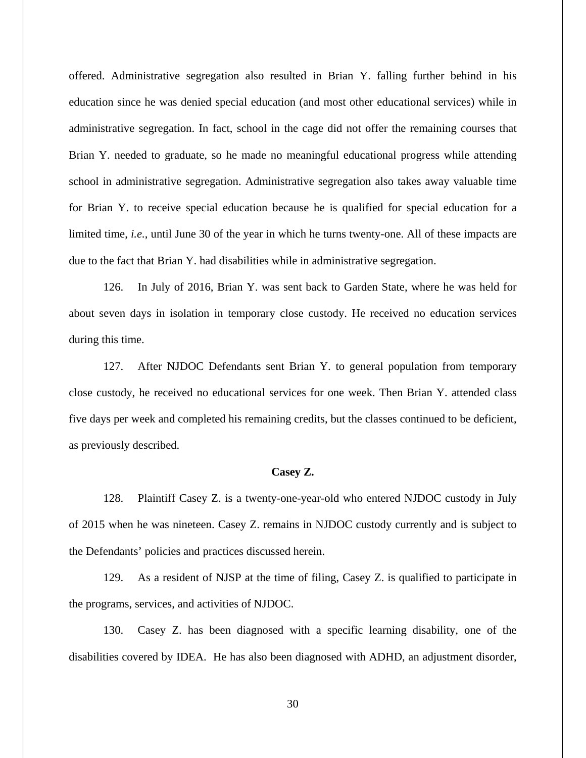offered. Administrative segregation also resulted in Brian Y. falling further behind in his education since he was denied special education (and most other educational services) while in administrative segregation. In fact, school in the cage did not offer the remaining courses that Brian Y. needed to graduate, so he made no meaningful educational progress while attending school in administrative segregation. Administrative segregation also takes away valuable time for Brian Y. to receive special education because he is qualified for special education for a limited time, *i.e.*, until June 30 of the year in which he turns twenty-one. All of these impacts are due to the fact that Brian Y. had disabilities while in administrative segregation.

126. In July of 2016, Brian Y. was sent back to Garden State, where he was held for about seven days in isolation in temporary close custody. He received no education services during this time.

127. After NJDOC Defendants sent Brian Y. to general population from temporary close custody, he received no educational services for one week. Then Brian Y. attended class five days per week and completed his remaining credits, but the classes continued to be deficient, as previously described.

#### **Casey Z.**

128. Plaintiff Casey Z. is a twenty-one-year-old who entered NJDOC custody in July of 2015 when he was nineteen. Casey Z. remains in NJDOC custody currently and is subject to the Defendants' policies and practices discussed herein.

129. As a resident of NJSP at the time of filing, Casey Z. is qualified to participate in the programs, services, and activities of NJDOC.

130. Casey Z. has been diagnosed with a specific learning disability, one of the disabilities covered by IDEA. He has also been diagnosed with ADHD, an adjustment disorder,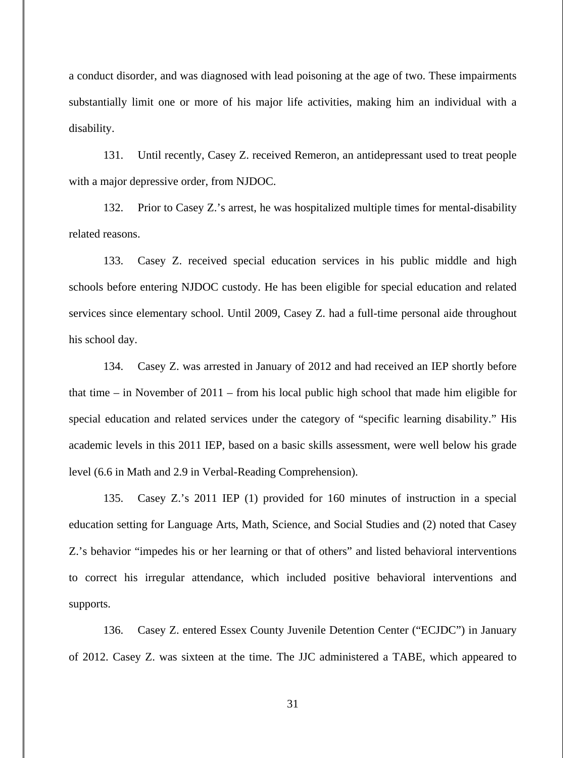a conduct disorder, and was diagnosed with lead poisoning at the age of two. These impairments substantially limit one or more of his major life activities, making him an individual with a disability.

131. Until recently, Casey Z. received Remeron, an antidepressant used to treat people with a major depressive order, from NJDOC.

132. Prior to Casey Z.'s arrest, he was hospitalized multiple times for mental-disability related reasons.

133. Casey Z. received special education services in his public middle and high schools before entering NJDOC custody. He has been eligible for special education and related services since elementary school. Until 2009, Casey Z. had a full-time personal aide throughout his school day.

134. Casey Z. was arrested in January of 2012 and had received an IEP shortly before that time – in November of 2011 – from his local public high school that made him eligible for special education and related services under the category of "specific learning disability." His academic levels in this 2011 IEP, based on a basic skills assessment, were well below his grade level (6.6 in Math and 2.9 in Verbal-Reading Comprehension).

135. Casey Z.'s 2011 IEP (1) provided for 160 minutes of instruction in a special education setting for Language Arts, Math, Science, and Social Studies and (2) noted that Casey Z.'s behavior "impedes his or her learning or that of others" and listed behavioral interventions to correct his irregular attendance, which included positive behavioral interventions and supports.

136. Casey Z. entered Essex County Juvenile Detention Center ("ECJDC") in January of 2012. Casey Z. was sixteen at the time. The JJC administered a TABE, which appeared to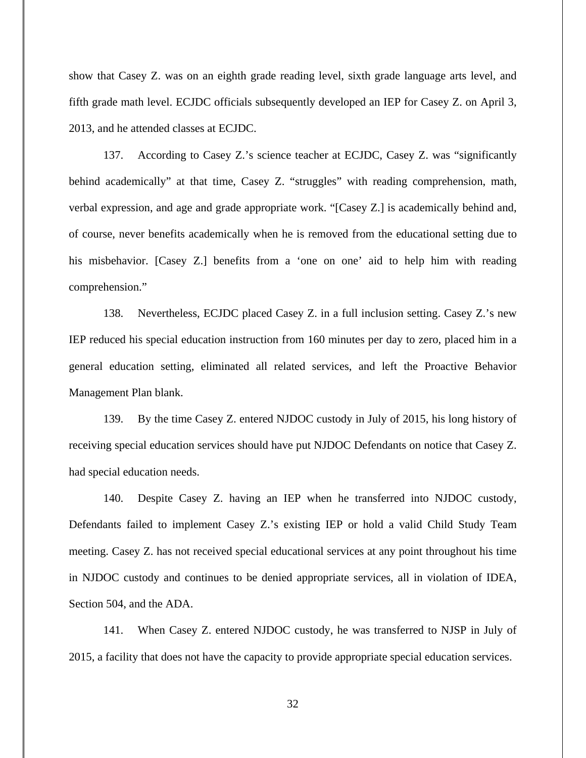show that Casey Z. was on an eighth grade reading level, sixth grade language arts level, and fifth grade math level. ECJDC officials subsequently developed an IEP for Casey Z. on April 3, 2013, and he attended classes at ECJDC.

137. According to Casey Z.'s science teacher at ECJDC, Casey Z. was "significantly behind academically" at that time, Casey Z. "struggles" with reading comprehension, math, verbal expression, and age and grade appropriate work. "[Casey Z.] is academically behind and, of course, never benefits academically when he is removed from the educational setting due to his misbehavior. [Casey Z.] benefits from a 'one on one' aid to help him with reading comprehension."

138. Nevertheless, ECJDC placed Casey Z. in a full inclusion setting. Casey Z.'s new IEP reduced his special education instruction from 160 minutes per day to zero, placed him in a general education setting, eliminated all related services, and left the Proactive Behavior Management Plan blank.

139. By the time Casey Z. entered NJDOC custody in July of 2015, his long history of receiving special education services should have put NJDOC Defendants on notice that Casey Z. had special education needs.

140. Despite Casey Z. having an IEP when he transferred into NJDOC custody, Defendants failed to implement Casey Z.'s existing IEP or hold a valid Child Study Team meeting. Casey Z. has not received special educational services at any point throughout his time in NJDOC custody and continues to be denied appropriate services, all in violation of IDEA, Section 504, and the ADA.

141. When Casey Z. entered NJDOC custody, he was transferred to NJSP in July of 2015, a facility that does not have the capacity to provide appropriate special education services.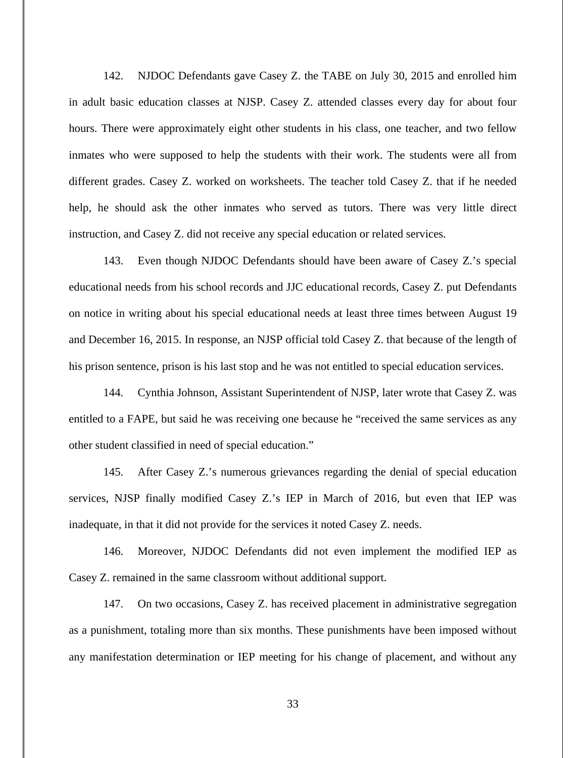142. NJDOC Defendants gave Casey Z. the TABE on July 30, 2015 and enrolled him in adult basic education classes at NJSP. Casey Z. attended classes every day for about four hours. There were approximately eight other students in his class, one teacher, and two fellow inmates who were supposed to help the students with their work. The students were all from different grades. Casey Z. worked on worksheets. The teacher told Casey Z. that if he needed help, he should ask the other inmates who served as tutors. There was very little direct instruction, and Casey Z. did not receive any special education or related services.

143. Even though NJDOC Defendants should have been aware of Casey Z.'s special educational needs from his school records and JJC educational records, Casey Z. put Defendants on notice in writing about his special educational needs at least three times between August 19 and December 16, 2015. In response, an NJSP official told Casey Z. that because of the length of his prison sentence, prison is his last stop and he was not entitled to special education services.

144. Cynthia Johnson, Assistant Superintendent of NJSP, later wrote that Casey Z. was entitled to a FAPE, but said he was receiving one because he "received the same services as any other student classified in need of special education."

145. After Casey Z.'s numerous grievances regarding the denial of special education services, NJSP finally modified Casey Z.'s IEP in March of 2016, but even that IEP was inadequate, in that it did not provide for the services it noted Casey Z. needs.

146. Moreover, NJDOC Defendants did not even implement the modified IEP as Casey Z. remained in the same classroom without additional support.

147. On two occasions, Casey Z. has received placement in administrative segregation as a punishment, totaling more than six months. These punishments have been imposed without any manifestation determination or IEP meeting for his change of placement, and without any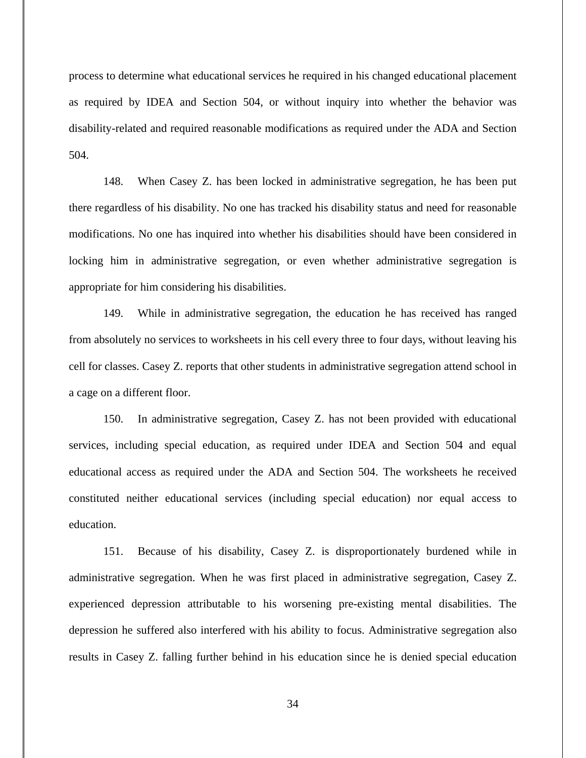process to determine what educational services he required in his changed educational placement as required by IDEA and Section 504, or without inquiry into whether the behavior was disability-related and required reasonable modifications as required under the ADA and Section 504.

148. When Casey Z. has been locked in administrative segregation, he has been put there regardless of his disability. No one has tracked his disability status and need for reasonable modifications. No one has inquired into whether his disabilities should have been considered in locking him in administrative segregation, or even whether administrative segregation is appropriate for him considering his disabilities.

149. While in administrative segregation, the education he has received has ranged from absolutely no services to worksheets in his cell every three to four days, without leaving his cell for classes. Casey Z. reports that other students in administrative segregation attend school in a cage on a different floor.

150. In administrative segregation, Casey Z. has not been provided with educational services, including special education, as required under IDEA and Section 504 and equal educational access as required under the ADA and Section 504. The worksheets he received constituted neither educational services (including special education) nor equal access to education.

151. Because of his disability, Casey Z. is disproportionately burdened while in administrative segregation. When he was first placed in administrative segregation, Casey Z. experienced depression attributable to his worsening pre-existing mental disabilities. The depression he suffered also interfered with his ability to focus. Administrative segregation also results in Casey Z. falling further behind in his education since he is denied special education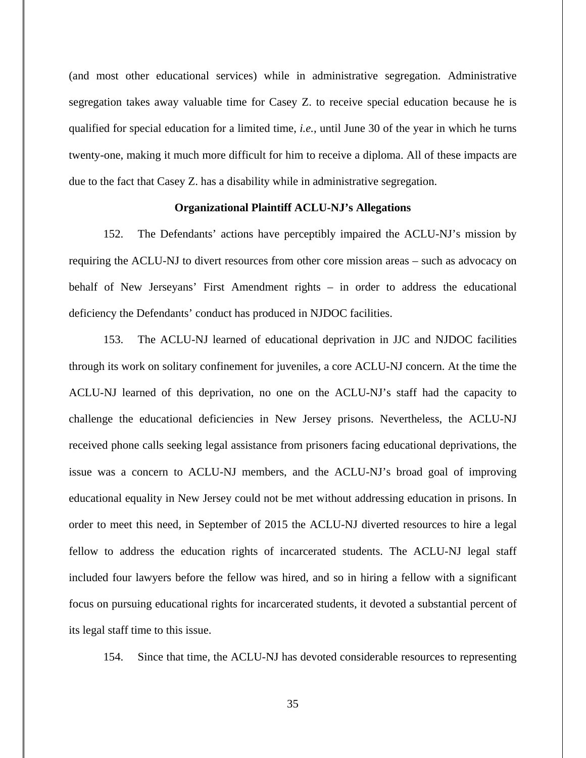(and most other educational services) while in administrative segregation. Administrative segregation takes away valuable time for Casey Z. to receive special education because he is qualified for special education for a limited time, *i.e.*, until June 30 of the year in which he turns twenty-one, making it much more difficult for him to receive a diploma. All of these impacts are due to the fact that Casey Z. has a disability while in administrative segregation.

## **Organizational Plaintiff ACLU-NJ's Allegations**

152. The Defendants' actions have perceptibly impaired the ACLU-NJ's mission by requiring the ACLU-NJ to divert resources from other core mission areas – such as advocacy on behalf of New Jerseyans' First Amendment rights – in order to address the educational deficiency the Defendants' conduct has produced in NJDOC facilities.

153. The ACLU-NJ learned of educational deprivation in JJC and NJDOC facilities through its work on solitary confinement for juveniles, a core ACLU-NJ concern. At the time the ACLU-NJ learned of this deprivation, no one on the ACLU-NJ's staff had the capacity to challenge the educational deficiencies in New Jersey prisons. Nevertheless, the ACLU-NJ received phone calls seeking legal assistance from prisoners facing educational deprivations, the issue was a concern to ACLU-NJ members, and the ACLU-NJ's broad goal of improving educational equality in New Jersey could not be met without addressing education in prisons. In order to meet this need, in September of 2015 the ACLU-NJ diverted resources to hire a legal fellow to address the education rights of incarcerated students. The ACLU-NJ legal staff included four lawyers before the fellow was hired, and so in hiring a fellow with a significant focus on pursuing educational rights for incarcerated students, it devoted a substantial percent of its legal staff time to this issue.

154. Since that time, the ACLU-NJ has devoted considerable resources to representing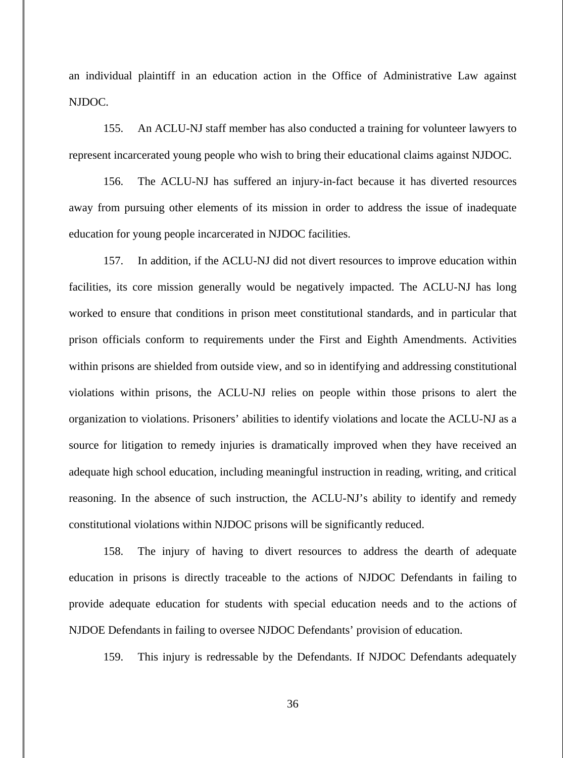an individual plaintiff in an education action in the Office of Administrative Law against NJDOC.

155. An ACLU-NJ staff member has also conducted a training for volunteer lawyers to represent incarcerated young people who wish to bring their educational claims against NJDOC.

156. The ACLU-NJ has suffered an injury-in-fact because it has diverted resources away from pursuing other elements of its mission in order to address the issue of inadequate education for young people incarcerated in NJDOC facilities.

157. In addition, if the ACLU-NJ did not divert resources to improve education within facilities, its core mission generally would be negatively impacted. The ACLU-NJ has long worked to ensure that conditions in prison meet constitutional standards, and in particular that prison officials conform to requirements under the First and Eighth Amendments. Activities within prisons are shielded from outside view, and so in identifying and addressing constitutional violations within prisons, the ACLU-NJ relies on people within those prisons to alert the organization to violations. Prisoners' abilities to identify violations and locate the ACLU-NJ as a source for litigation to remedy injuries is dramatically improved when they have received an adequate high school education, including meaningful instruction in reading, writing, and critical reasoning. In the absence of such instruction, the ACLU-NJ's ability to identify and remedy constitutional violations within NJDOC prisons will be significantly reduced.

158. The injury of having to divert resources to address the dearth of adequate education in prisons is directly traceable to the actions of NJDOC Defendants in failing to provide adequate education for students with special education needs and to the actions of NJDOE Defendants in failing to oversee NJDOC Defendants' provision of education.

159. This injury is redressable by the Defendants. If NJDOC Defendants adequately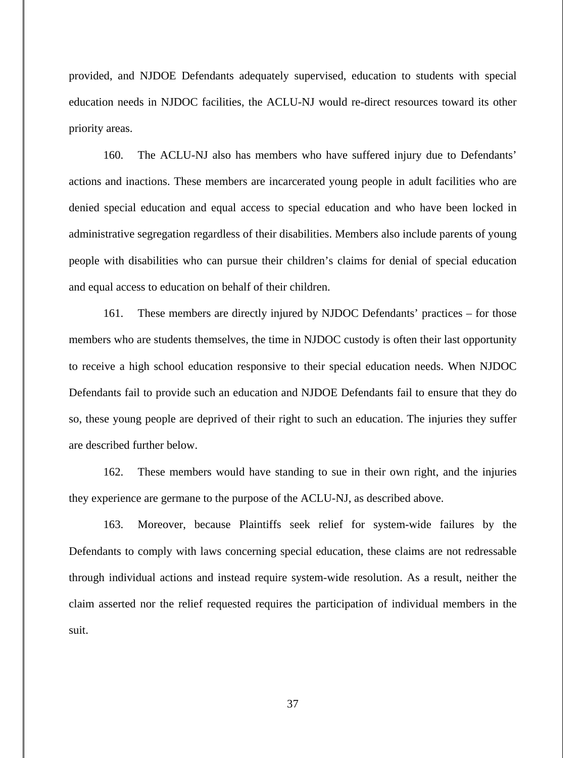provided, and NJDOE Defendants adequately supervised, education to students with special education needs in NJDOC facilities, the ACLU-NJ would re-direct resources toward its other priority areas.

160. The ACLU-NJ also has members who have suffered injury due to Defendants' actions and inactions. These members are incarcerated young people in adult facilities who are denied special education and equal access to special education and who have been locked in administrative segregation regardless of their disabilities. Members also include parents of young people with disabilities who can pursue their children's claims for denial of special education and equal access to education on behalf of their children.

161. These members are directly injured by NJDOC Defendants' practices – for those members who are students themselves, the time in NJDOC custody is often their last opportunity to receive a high school education responsive to their special education needs. When NJDOC Defendants fail to provide such an education and NJDOE Defendants fail to ensure that they do so, these young people are deprived of their right to such an education. The injuries they suffer are described further below.

162. These members would have standing to sue in their own right, and the injuries they experience are germane to the purpose of the ACLU-NJ, as described above.

163. Moreover, because Plaintiffs seek relief for system-wide failures by the Defendants to comply with laws concerning special education, these claims are not redressable through individual actions and instead require system-wide resolution. As a result, neither the claim asserted nor the relief requested requires the participation of individual members in the suit.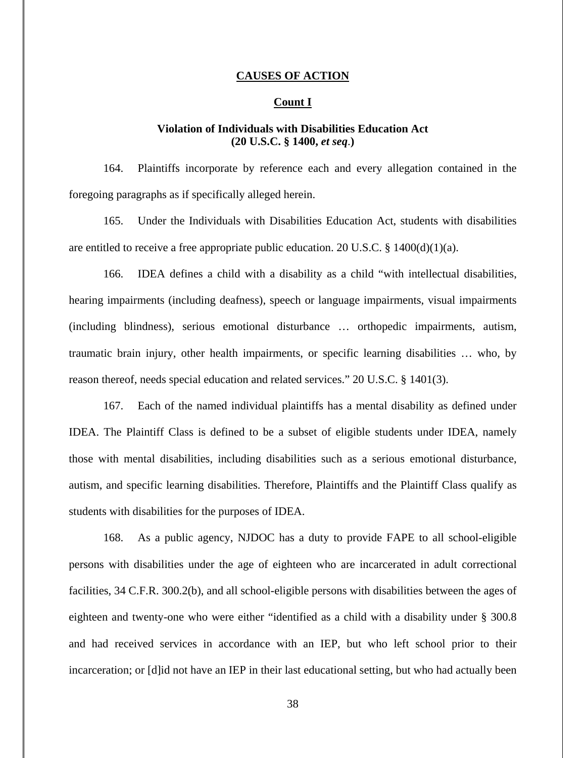#### **CAUSES OF ACTION**

## **Count I**

# **Violation of Individuals with Disabilities Education Act** **(20 U.S.C. § 1400,** *et seq*.**)**

164. Plaintiffs incorporate by reference each and every allegation contained in the foregoing paragraphs as if specifically alleged herein.

165. Under the Individuals with Disabilities Education Act, students with disabilities are entitled to receive a free appropriate public education. 20 U.S.C. § 1400(d)(1)(a).

166. IDEA defines a child with a disability as a child "with intellectual disabilities, hearing impairments (including deafness), speech or language impairments, visual impairments (including blindness), serious emotional disturbance … orthopedic impairments, autism, traumatic brain injury, other health impairments, or specific learning disabilities … who, by reason thereof, needs special education and related services." 20 U.S.C. § 1401(3).

167. Each of the named individual plaintiffs has a mental disability as defined under IDEA. The Plaintiff Class is defined to be a subset of eligible students under IDEA, namely those with mental disabilities, including disabilities such as a serious emotional disturbance, autism, and specific learning disabilities. Therefore, Plaintiffs and the Plaintiff Class qualify as students with disabilities for the purposes of IDEA.

168. As a public agency, NJDOC has a duty to provide FAPE to all school-eligible persons with disabilities under the age of eighteen who are incarcerated in adult correctional facilities, 34 C.F.R. 300.2(b), and all school-eligible persons with disabilities between the ages of eighteen and twenty-one who were either "identified as a child with a disability under § 300.8 and had received services in accordance with an IEP, but who left school prior to their incarceration; or [d]id not have an IEP in their last educational setting, but who had actually been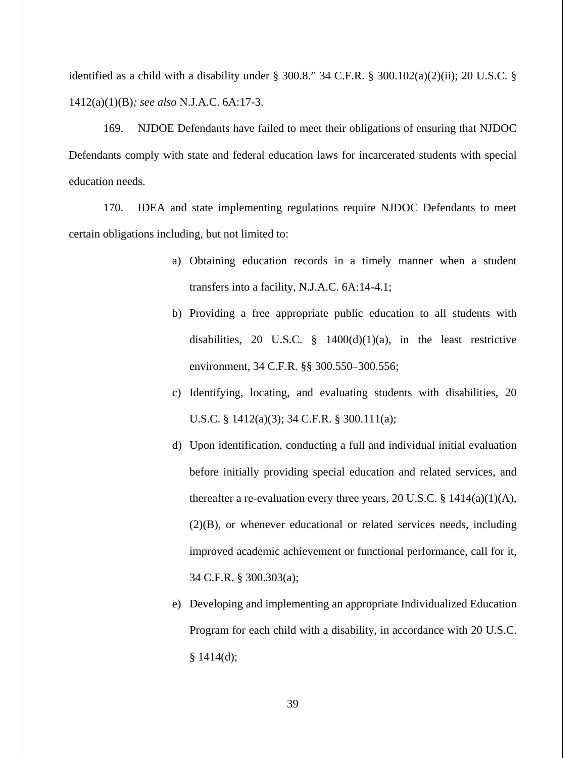identified as a child with a disability under § 300.8." 34 C.F.R. § 300.102(a)(2)(ii); 20 U.S.C. § 1412(a)(1)(B)*; see also* N.J.A.C. 6A:17-3.

169. NJDOE Defendants have failed to meet their obligations of ensuring that NJDOC Defendants comply with state and federal education laws for incarcerated students with special education needs.

170. IDEA and state implementing regulations require NJDOC Defendants to meet certain obligations including, but not limited to:

- a) Obtaining education records in a timely manner when a student transfers into a facility, N.J.A.C. 6A:14-4.1;
- b) Providing a free appropriate public education to all students with disabilities, 20 U.S.C.  $\S$  1400(d)(1)(a), in the least restrictive environment, 34 C.F.R. §§ 300.550–300.556;
- c) Identifying, locating, and evaluating students with disabilities, 20 U.S.C. § 1412(a)(3); 34 C.F.R. § 300.111(a);
- d) Upon identification, conducting a full and individual initial evaluation before initially providing special education and related services, and thereafter a re-evaluation every three years, 20 U.S.C. §  $1414(a)(1)(A)$ , (2)(B), or whenever educational or related services needs, including improved academic achievement or functional performance, call for it, 34 C.F.R. § 300.303(a);
- e) Developing and implementing an appropriate Individualized Education Program for each child with a disability, in accordance with 20 U.S.C.  $§ 1414(d);$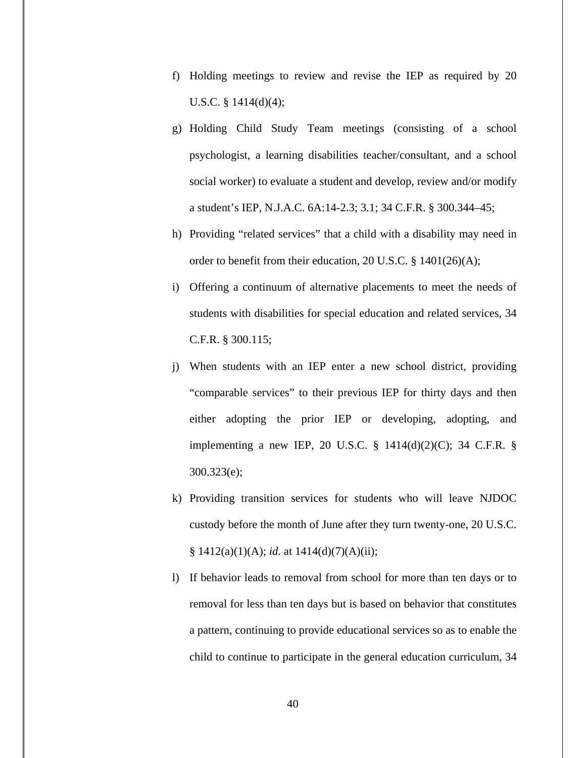- f) Holding meetings to review and revise the IEP as required by 20 U.S.C. §  $1414(d)(4)$ ;
- g) Holding Child Study Team meetings (consisting of a school psychologist, a learning disabilities teacher/consultant, and a school social worker) to evaluate a student and develop, review and/or modify a student's IEP, N.J.A.C. 6A:14-2.3; 3.1; 34 C.F.R. § 300.344–45;
- h) Providing "related services" that a child with a disability may need in order to benefit from their education, 20 U.S.C. § 1401(26)(A);
- i) Offering a continuum of alternative placements to meet the needs of students with disabilities for special education and related services, 34 C.F.R. § 300.115;
- j) When students with an IEP enter a new school district, providing "comparable services" to their previous IEP for thirty days and then either adopting the prior IEP or developing, adopting, and implementing a new IEP, 20 U.S.C. § 1414(d)(2)(C); 34 C.F.R. § 300.323(e);
- k) Providing transition services for students who will leave NJDOC custody before the month of June after they turn twenty-one, 20 U.S.C. § 1412(a)(1)(A); *id.* at 1414(d)(7)(A)(ii);
- l) If behavior leads to removal from school for more than ten days or to removal for less than ten days but is based on behavior that constitutes a pattern, continuing to provide educational services so as to enable the child to continue to participate in the general education curriculum, 34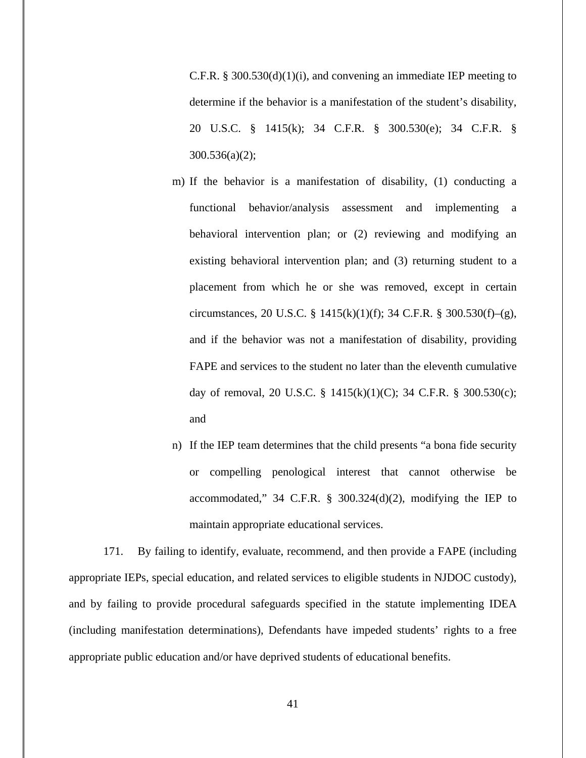C.F.R. § 300.530(d)(1)(i), and convening an immediate IEP meeting to determine if the behavior is a manifestation of the student's disability, 20 U.S.C. § 1415(k); 34 C.F.R. § 300.530(e); 34 C.F.R. § 300.536(a)(2);

- m) If the behavior is a manifestation of disability, (1) conducting a functional behavior/analysis assessment and implementing a behavioral intervention plan; or (2) reviewing and modifying an existing behavioral intervention plan; and (3) returning student to a placement from which he or she was removed, except in certain circumstances, 20 U.S.C. § 1415(k)(1)(f); 34 C.F.R. § 300.530(f)–(g), and if the behavior was not a manifestation of disability, providing FAPE and services to the student no later than the eleventh cumulative day of removal, 20 U.S.C. § 1415(k)(1)(C); 34 C.F.R. § 300.530(c); and
- n) If the IEP team determines that the child presents "a bona fide security or compelling penological interest that cannot otherwise be accommodated," 34 C.F.R. § 300.324(d)(2), modifying the IEP to maintain appropriate educational services.

171. By failing to identify, evaluate, recommend, and then provide a FAPE (including appropriate IEPs, special education, and related services to eligible students in NJDOC custody), and by failing to provide procedural safeguards specified in the statute implementing IDEA (including manifestation determinations), Defendants have impeded students' rights to a free appropriate public education and/or have deprived students of educational benefits.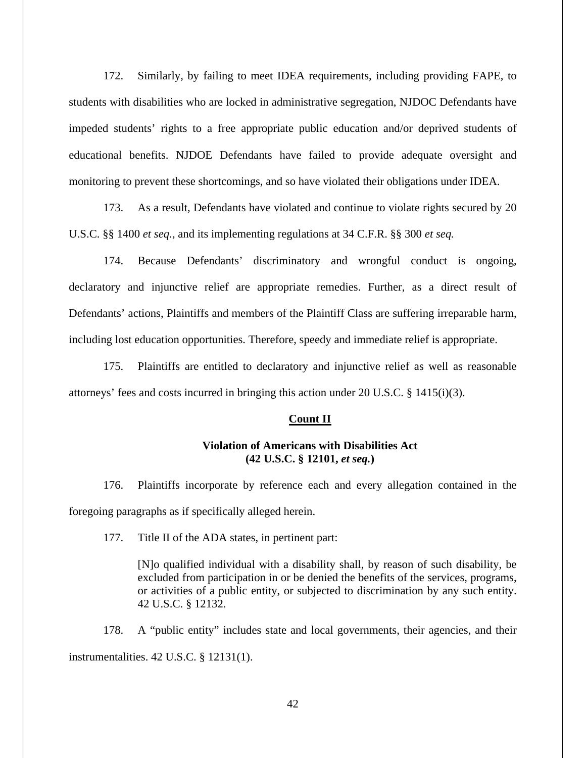172. Similarly, by failing to meet IDEA requirements, including providing FAPE, to students with disabilities who are locked in administrative segregation, NJDOC Defendants have impeded students' rights to a free appropriate public education and/or deprived students of educational benefits. NJDOE Defendants have failed to provide adequate oversight and monitoring to prevent these shortcomings, and so have violated their obligations under IDEA.

173. As a result, Defendants have violated and continue to violate rights secured by 20 U.S.C. §§ 1400 *et seq.*, and its implementing regulations at 34 C.F.R. §§ 300 *et seq.*

174. Because Defendants' discriminatory and wrongful conduct is ongoing, declaratory and injunctive relief are appropriate remedies. Further, as a direct result of Defendants' actions, Plaintiffs and members of the Plaintiff Class are suffering irreparable harm, including lost education opportunities. Therefore, speedy and immediate relief is appropriate.

175. Plaintiffs are entitled to declaratory and injunctive relief as well as reasonable attorneys' fees and costs incurred in bringing this action under 20 U.S.C. § 1415(i)(3).

#### **Count II**

## **Violation of Americans with Disabilities Act (42 U.S.C. § 12101,** *et seq.***)**

176. Plaintiffs incorporate by reference each and every allegation contained in the foregoing paragraphs as if specifically alleged herein.

177. Title II of the ADA states, in pertinent part:

[N]o qualified individual with a disability shall, by reason of such disability, be excluded from participation in or be denied the benefits of the services, programs, or activities of a public entity, or subjected to discrimination by any such entity. 42 U.S.C. § 12132.

178. A "public entity" includes state and local governments, their agencies, and their instrumentalities. 42 U.S.C. § 12131(1).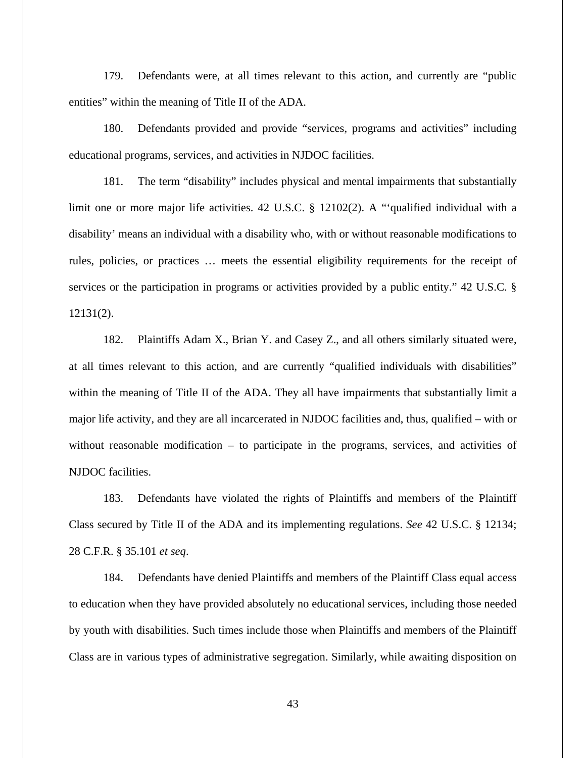179. Defendants were, at all times relevant to this action, and currently are "public entities" within the meaning of Title II of the ADA.

180. Defendants provided and provide "services, programs and activities" including educational programs, services, and activities in NJDOC facilities.

181. The term "disability" includes physical and mental impairments that substantially limit one or more major life activities. 42 U.S.C. § 12102(2). A "'qualified individual with a disability' means an individual with a disability who, with or without reasonable modifications to rules, policies, or practices … meets the essential eligibility requirements for the receipt of services or the participation in programs or activities provided by a public entity." 42 U.S.C. § 12131(2).

182. Plaintiffs Adam X., Brian Y. and Casey Z., and all others similarly situated were, at all times relevant to this action, and are currently "qualified individuals with disabilities" within the meaning of Title II of the ADA. They all have impairments that substantially limit a major life activity, and they are all incarcerated in NJDOC facilities and, thus, qualified – with or without reasonable modification – to participate in the programs, services, and activities of NJDOC facilities.

183. Defendants have violated the rights of Plaintiffs and members of the Plaintiff Class secured by Title II of the ADA and its implementing regulations. *See* 42 U.S.C. § 12134; 28 C.F.R. § 35.101 *et seq*.

184. Defendants have denied Plaintiffs and members of the Plaintiff Class equal access to education when they have provided absolutely no educational services, including those needed by youth with disabilities. Such times include those when Plaintiffs and members of the Plaintiff Class are in various types of administrative segregation. Similarly, while awaiting disposition on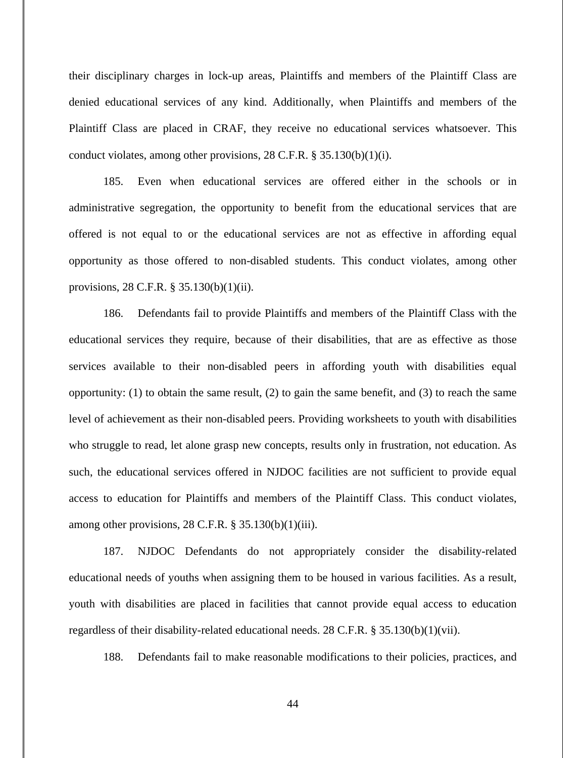their disciplinary charges in lock-up areas, Plaintiffs and members of the Plaintiff Class are denied educational services of any kind. Additionally, when Plaintiffs and members of the Plaintiff Class are placed in CRAF, they receive no educational services whatsoever. This conduct violates, among other provisions, 28 C.F.R. § 35.130(b)(1)(i).

185. Even when educational services are offered either in the schools or in administrative segregation, the opportunity to benefit from the educational services that are offered is not equal to or the educational services are not as effective in affording equal opportunity as those offered to non-disabled students. This conduct violates, among other provisions, 28 C.F.R. § 35.130(b)(1)(ii).

186. Defendants fail to provide Plaintiffs and members of the Plaintiff Class with the educational services they require, because of their disabilities, that are as effective as those services available to their non-disabled peers in affording youth with disabilities equal opportunity: (1) to obtain the same result, (2) to gain the same benefit, and (3) to reach the same level of achievement as their non-disabled peers. Providing worksheets to youth with disabilities who struggle to read, let alone grasp new concepts, results only in frustration, not education. As such, the educational services offered in NJDOC facilities are not sufficient to provide equal access to education for Plaintiffs and members of the Plaintiff Class. This conduct violates, among other provisions,  $28$  C.F.R.  $\S$  35.130(b)(1)(iii).

187. NJDOC Defendants do not appropriately consider the disability-related educational needs of youths when assigning them to be housed in various facilities. As a result, youth with disabilities are placed in facilities that cannot provide equal access to education regardless of their disability-related educational needs. 28 C.F.R. § 35.130(b)(1)(vii).

188. Defendants fail to make reasonable modifications to their policies, practices, and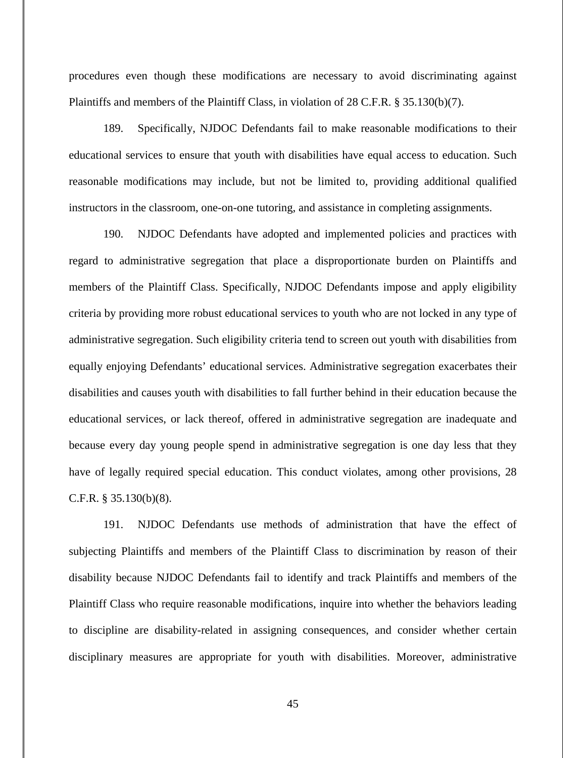procedures even though these modifications are necessary to avoid discriminating against Plaintiffs and members of the Plaintiff Class, in violation of 28 C.F.R. § 35.130(b)(7).

189. Specifically, NJDOC Defendants fail to make reasonable modifications to their educational services to ensure that youth with disabilities have equal access to education. Such reasonable modifications may include, but not be limited to, providing additional qualified instructors in the classroom, one-on-one tutoring, and assistance in completing assignments.

190. NJDOC Defendants have adopted and implemented policies and practices with regard to administrative segregation that place a disproportionate burden on Plaintiffs and members of the Plaintiff Class. Specifically, NJDOC Defendants impose and apply eligibility criteria by providing more robust educational services to youth who are not locked in any type of administrative segregation. Such eligibility criteria tend to screen out youth with disabilities from equally enjoying Defendants' educational services. Administrative segregation exacerbates their disabilities and causes youth with disabilities to fall further behind in their education because the educational services, or lack thereof, offered in administrative segregation are inadequate and because every day young people spend in administrative segregation is one day less that they have of legally required special education. This conduct violates, among other provisions, 28 C.F.R. § 35.130(b)(8).

191. NJDOC Defendants use methods of administration that have the effect of subjecting Plaintiffs and members of the Plaintiff Class to discrimination by reason of their disability because NJDOC Defendants fail to identify and track Plaintiffs and members of the Plaintiff Class who require reasonable modifications, inquire into whether the behaviors leading to discipline are disability-related in assigning consequences, and consider whether certain disciplinary measures are appropriate for youth with disabilities. Moreover, administrative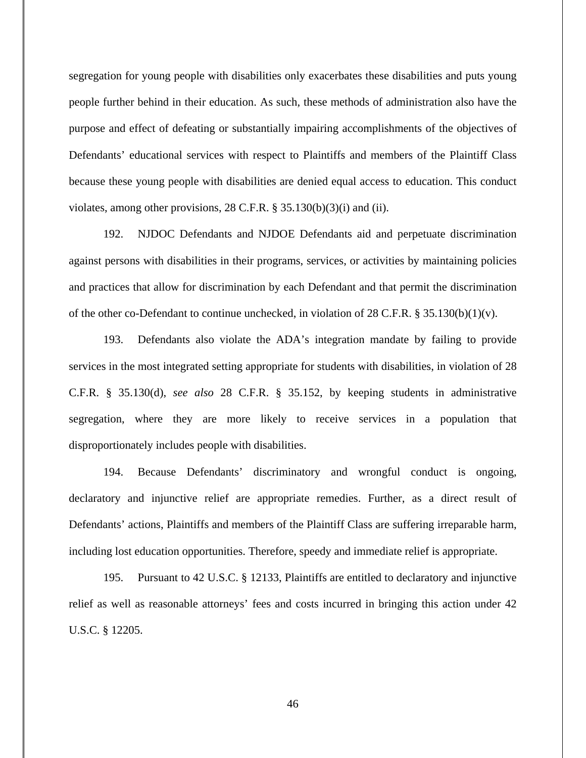segregation for young people with disabilities only exacerbates these disabilities and puts young people further behind in their education. As such, these methods of administration also have the purpose and effect of defeating or substantially impairing accomplishments of the objectives of Defendants' educational services with respect to Plaintiffs and members of the Plaintiff Class because these young people with disabilities are denied equal access to education. This conduct violates, among other provisions, 28 C.F.R. § 35.130(b)(3)(i) and (ii).

192. NJDOC Defendants and NJDOE Defendants aid and perpetuate discrimination against persons with disabilities in their programs, services, or activities by maintaining policies and practices that allow for discrimination by each Defendant and that permit the discrimination of the other co-Defendant to continue unchecked, in violation of 28 C.F.R. § 35.130(b)(1)(v).

193. Defendants also violate the ADA's integration mandate by failing to provide services in the most integrated setting appropriate for students with disabilities, in violation of 28 C.F.R. § 35.130(d), *see also* 28 C.F.R. § 35.152, by keeping students in administrative segregation, where they are more likely to receive services in a population that disproportionately includes people with disabilities.

194. Because Defendants' discriminatory and wrongful conduct is ongoing, declaratory and injunctive relief are appropriate remedies. Further, as a direct result of Defendants' actions, Plaintiffs and members of the Plaintiff Class are suffering irreparable harm, including lost education opportunities. Therefore, speedy and immediate relief is appropriate.

195. Pursuant to 42 U.S.C. § 12133, Plaintiffs are entitled to declaratory and injunctive relief as well as reasonable attorneys' fees and costs incurred in bringing this action under 42 U.S.C. § 12205.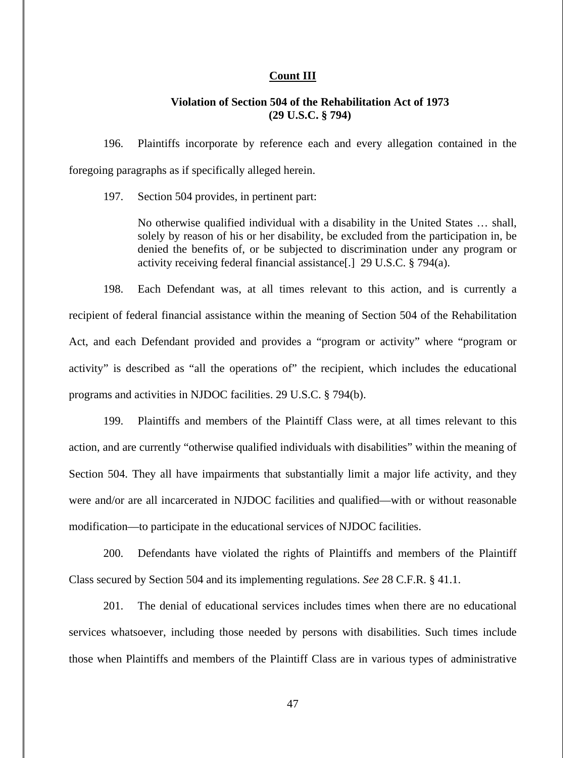## **Count III**

# **Violation of Section 504 of the Rehabilitation Act of 1973 (29 U.S.C. § 794)**

196. Plaintiffs incorporate by reference each and every allegation contained in the foregoing paragraphs as if specifically alleged herein.

197. Section 504 provides, in pertinent part:

No otherwise qualified individual with a disability in the United States … shall, solely by reason of his or her disability, be excluded from the participation in, be denied the benefits of, or be subjected to discrimination under any program or activity receiving federal financial assistance[.] 29 U.S.C. § 794(a).

198. Each Defendant was, at all times relevant to this action, and is currently a recipient of federal financial assistance within the meaning of Section 504 of the Rehabilitation Act, and each Defendant provided and provides a "program or activity" where "program or activity" is described as "all the operations of" the recipient, which includes the educational programs and activities in NJDOC facilities. 29 U.S.C. § 794(b).

199. Plaintiffs and members of the Plaintiff Class were, at all times relevant to this action, and are currently "otherwise qualified individuals with disabilities" within the meaning of Section 504. They all have impairments that substantially limit a major life activity, and they were and/or are all incarcerated in NJDOC facilities and qualified—with or without reasonable modification—to participate in the educational services of NJDOC facilities.

200. Defendants have violated the rights of Plaintiffs and members of the Plaintiff Class secured by Section 504 and its implementing regulations. *See* 28 C.F.R. § 41.1.

201. The denial of educational services includes times when there are no educational services whatsoever, including those needed by persons with disabilities. Such times include those when Plaintiffs and members of the Plaintiff Class are in various types of administrative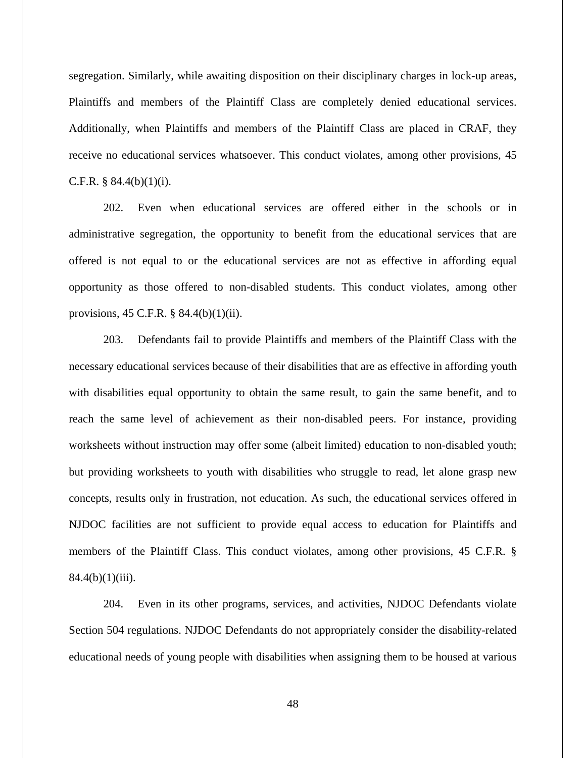segregation. Similarly, while awaiting disposition on their disciplinary charges in lock-up areas, Plaintiffs and members of the Plaintiff Class are completely denied educational services. Additionally, when Plaintiffs and members of the Plaintiff Class are placed in CRAF, they receive no educational services whatsoever. This conduct violates, among other provisions, 45 C.F.R. §  $84.4(b)(1)(i)$ .

202. Even when educational services are offered either in the schools or in administrative segregation, the opportunity to benefit from the educational services that are offered is not equal to or the educational services are not as effective in affording equal opportunity as those offered to non-disabled students. This conduct violates, among other provisions, 45 C.F.R. § 84.4(b)(1)(ii).

203. Defendants fail to provide Plaintiffs and members of the Plaintiff Class with the necessary educational services because of their disabilities that are as effective in affording youth with disabilities equal opportunity to obtain the same result, to gain the same benefit, and to reach the same level of achievement as their non-disabled peers. For instance, providing worksheets without instruction may offer some (albeit limited) education to non-disabled youth; but providing worksheets to youth with disabilities who struggle to read, let alone grasp new concepts, results only in frustration, not education. As such, the educational services offered in NJDOC facilities are not sufficient to provide equal access to education for Plaintiffs and members of the Plaintiff Class. This conduct violates, among other provisions, 45 C.F.R. §  $84.4(b)(1)(iii)$ .

204. Even in its other programs, services, and activities, NJDOC Defendants violate Section 504 regulations. NJDOC Defendants do not appropriately consider the disability-related educational needs of young people with disabilities when assigning them to be housed at various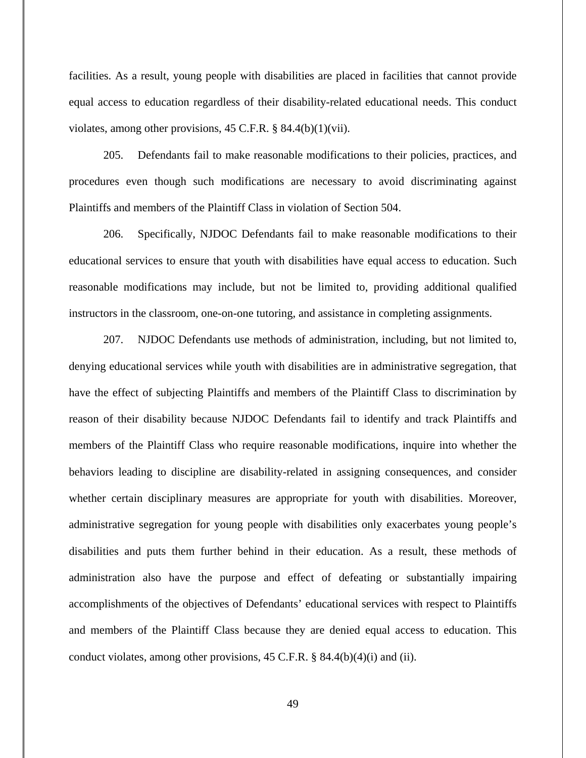facilities. As a result, young people with disabilities are placed in facilities that cannot provide equal access to education regardless of their disability-related educational needs. This conduct violates, among other provisions, 45 C.F.R. § 84.4(b)(1)(vii).

205. Defendants fail to make reasonable modifications to their policies, practices, and procedures even though such modifications are necessary to avoid discriminating against Plaintiffs and members of the Plaintiff Class in violation of Section 504.

206. Specifically, NJDOC Defendants fail to make reasonable modifications to their educational services to ensure that youth with disabilities have equal access to education. Such reasonable modifications may include, but not be limited to, providing additional qualified instructors in the classroom, one-on-one tutoring, and assistance in completing assignments.

207. NJDOC Defendants use methods of administration, including, but not limited to, denying educational services while youth with disabilities are in administrative segregation, that have the effect of subjecting Plaintiffs and members of the Plaintiff Class to discrimination by reason of their disability because NJDOC Defendants fail to identify and track Plaintiffs and members of the Plaintiff Class who require reasonable modifications, inquire into whether the behaviors leading to discipline are disability-related in assigning consequences, and consider whether certain disciplinary measures are appropriate for youth with disabilities. Moreover, administrative segregation for young people with disabilities only exacerbates young people's disabilities and puts them further behind in their education. As a result, these methods of administration also have the purpose and effect of defeating or substantially impairing accomplishments of the objectives of Defendants' educational services with respect to Plaintiffs and members of the Plaintiff Class because they are denied equal access to education. This conduct violates, among other provisions, 45 C.F.R. § 84.4(b)(4)(i) and (ii).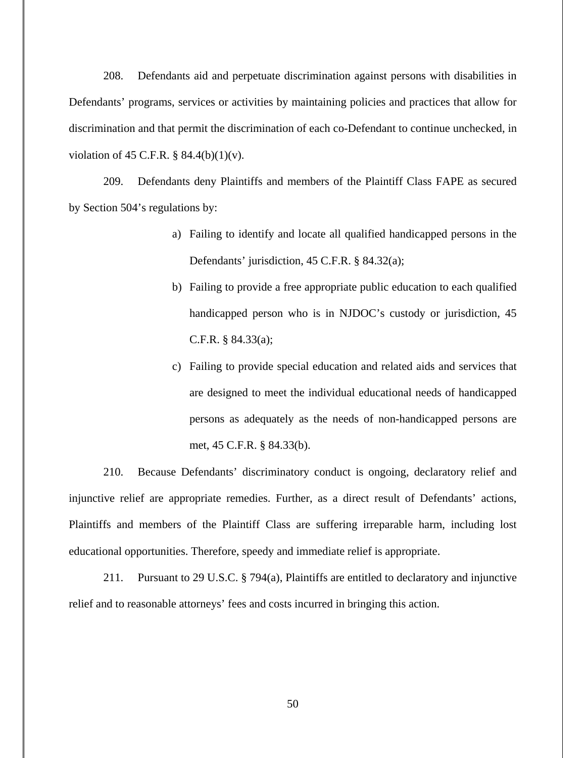208. Defendants aid and perpetuate discrimination against persons with disabilities in Defendants' programs, services or activities by maintaining policies and practices that allow for discrimination and that permit the discrimination of each co-Defendant to continue unchecked, in violation of 45 C.F.R.  $\S$  84.4(b)(1)(v).

209. Defendants deny Plaintiffs and members of the Plaintiff Class FAPE as secured by Section 504's regulations by:

- a) Failing to identify and locate all qualified handicapped persons in the Defendants' jurisdiction, 45 C.F.R. § 84.32(a);
- b) Failing to provide a free appropriate public education to each qualified handicapped person who is in NJDOC's custody or jurisdiction, 45 C.F.R. § 84.33(a);
- c) Failing to provide special education and related aids and services that are designed to meet the individual educational needs of handicapped persons as adequately as the needs of non-handicapped persons are met, 45 C.F.R. § 84.33(b).

210. Because Defendants' discriminatory conduct is ongoing, declaratory relief and injunctive relief are appropriate remedies. Further, as a direct result of Defendants' actions, Plaintiffs and members of the Plaintiff Class are suffering irreparable harm, including lost educational opportunities. Therefore, speedy and immediate relief is appropriate.

211. Pursuant to 29 U.S.C. § 794(a), Plaintiffs are entitled to declaratory and injunctive relief and to reasonable attorneys' fees and costs incurred in bringing this action.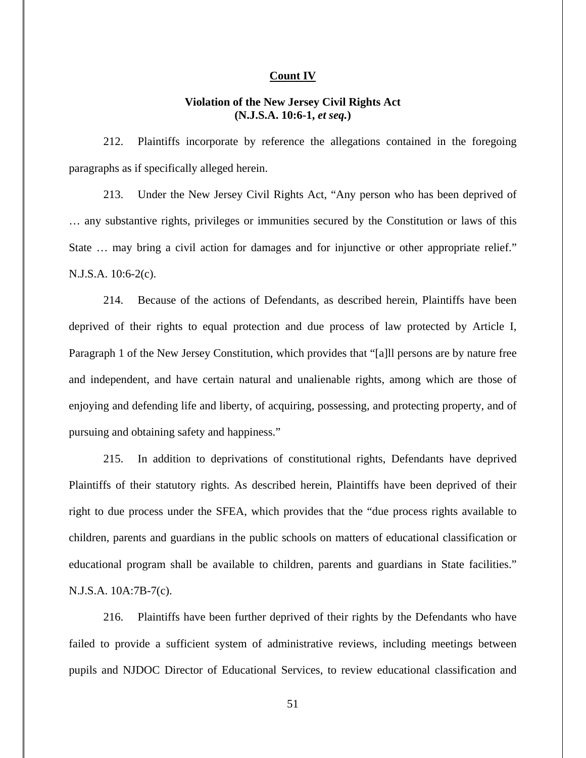### **Count IV**

# **Violation of the New Jersey Civil Rights Act (N.J.S.A. 10:6-1,** *et seq.***)**

212. Plaintiffs incorporate by reference the allegations contained in the foregoing paragraphs as if specifically alleged herein.

213. Under the New Jersey Civil Rights Act, "Any person who has been deprived of … any substantive rights, privileges or immunities secured by the Constitution or laws of this State … may bring a civil action for damages and for injunctive or other appropriate relief." N.J.S.A. 10:6-2(c).

214. Because of the actions of Defendants, as described herein, Plaintiffs have been deprived of their rights to equal protection and due process of law protected by Article I, Paragraph 1 of the New Jersey Constitution, which provides that "[a]ll persons are by nature free and independent, and have certain natural and unalienable rights, among which are those of enjoying and defending life and liberty, of acquiring, possessing, and protecting property, and of pursuing and obtaining safety and happiness."

215. In addition to deprivations of constitutional rights, Defendants have deprived Plaintiffs of their statutory rights. As described herein, Plaintiffs have been deprived of their right to due process under the SFEA, which provides that the "due process rights available to children, parents and guardians in the public schools on matters of educational classification or educational program shall be available to children, parents and guardians in State facilities." N.J.S.A. 10A:7B-7(c).

216. Plaintiffs have been further deprived of their rights by the Defendants who have failed to provide a sufficient system of administrative reviews, including meetings between pupils and NJDOC Director of Educational Services, to review educational classification and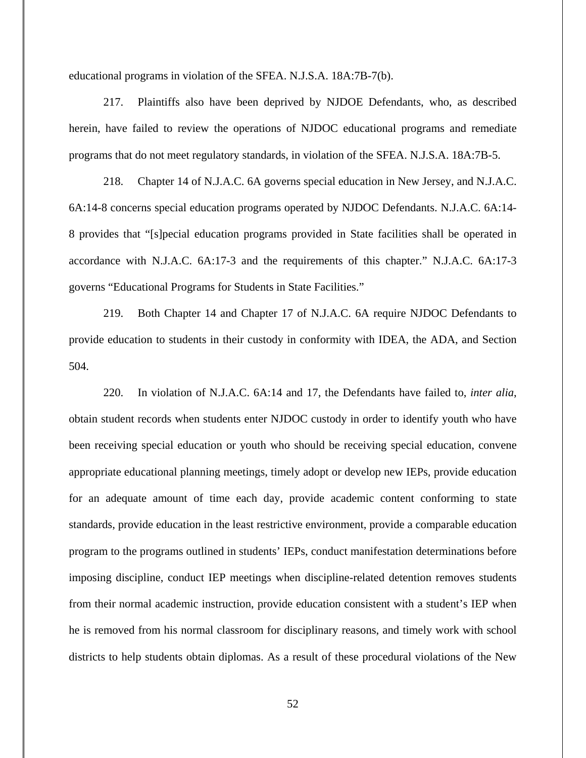educational programs in violation of the SFEA. N.J.S.A. 18A:7B-7(b).

217. Plaintiffs also have been deprived by NJDOE Defendants, who, as described herein, have failed to review the operations of NJDOC educational programs and remediate programs that do not meet regulatory standards, in violation of the SFEA. N.J.S.A. 18A:7B-5.

218. Chapter 14 of N.J.A.C. 6A governs special education in New Jersey, and N.J.A.C. 6A:14-8 concerns special education programs operated by NJDOC Defendants. N.J.A.C. 6A:14- 8 provides that "[s]pecial education programs provided in State facilities shall be operated in accordance with N.J.A.C. 6A:17-3 and the requirements of this chapter." N.J.A.C. 6A:17-3 governs "Educational Programs for Students in State Facilities."

219. Both Chapter 14 and Chapter 17 of N.J.A.C. 6A require NJDOC Defendants to provide education to students in their custody in conformity with IDEA, the ADA, and Section 504.

220. In violation of N.J.A.C. 6A:14 and 17, the Defendants have failed to, *inter alia*, obtain student records when students enter NJDOC custody in order to identify youth who have been receiving special education or youth who should be receiving special education, convene appropriate educational planning meetings, timely adopt or develop new IEPs, provide education for an adequate amount of time each day, provide academic content conforming to state standards, provide education in the least restrictive environment, provide a comparable education program to the programs outlined in students' IEPs, conduct manifestation determinations before imposing discipline, conduct IEP meetings when discipline-related detention removes students from their normal academic instruction, provide education consistent with a student's IEP when he is removed from his normal classroom for disciplinary reasons, and timely work with school districts to help students obtain diplomas. As a result of these procedural violations of the New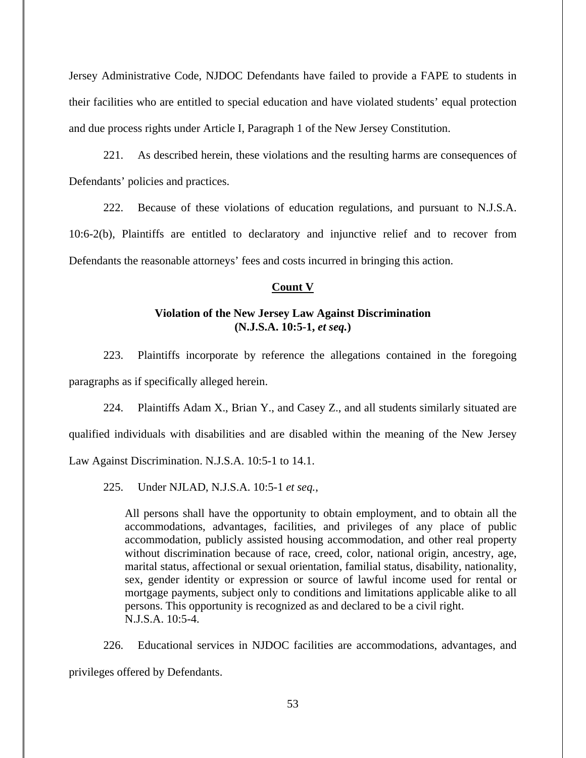Jersey Administrative Code, NJDOC Defendants have failed to provide a FAPE to students in their facilities who are entitled to special education and have violated students' equal protection and due process rights under Article I, Paragraph 1 of the New Jersey Constitution.

221. As described herein, these violations and the resulting harms are consequences of Defendants' policies and practices.

222. Because of these violations of education regulations, and pursuant to N.J.S.A. 10:6-2(b), Plaintiffs are entitled to declaratory and injunctive relief and to recover from Defendants the reasonable attorneys' fees and costs incurred in bringing this action.

## **Count V**

# **Violation of the New Jersey Law Against Discrimination (N.J.S.A. 10:5-1,** *et seq.***)**

223. Plaintiffs incorporate by reference the allegations contained in the foregoing paragraphs as if specifically alleged herein.

224. Plaintiffs Adam X., Brian Y., and Casey Z., and all students similarly situated are qualified individuals with disabilities and are disabled within the meaning of the New Jersey Law Against Discrimination. N.J.S.A. 10:5-1 to 14.1.

225. Under NJLAD, N.J.S.A. 10:5-1 *et seq.*,

All persons shall have the opportunity to obtain employment, and to obtain all the accommodations, advantages, facilities, and privileges of any place of public accommodation, publicly assisted housing accommodation, and other real property without discrimination because of race, creed, color, national origin, ancestry, age, marital status, affectional or sexual orientation, familial status, disability, nationality, sex, gender identity or expression or source of lawful income used for rental or mortgage payments, subject only to conditions and limitations applicable alike to all persons. This opportunity is recognized as and declared to be a civil right. N.J.S.A. 10:5-4.

226. Educational services in NJDOC facilities are accommodations, advantages, and privileges offered by Defendants.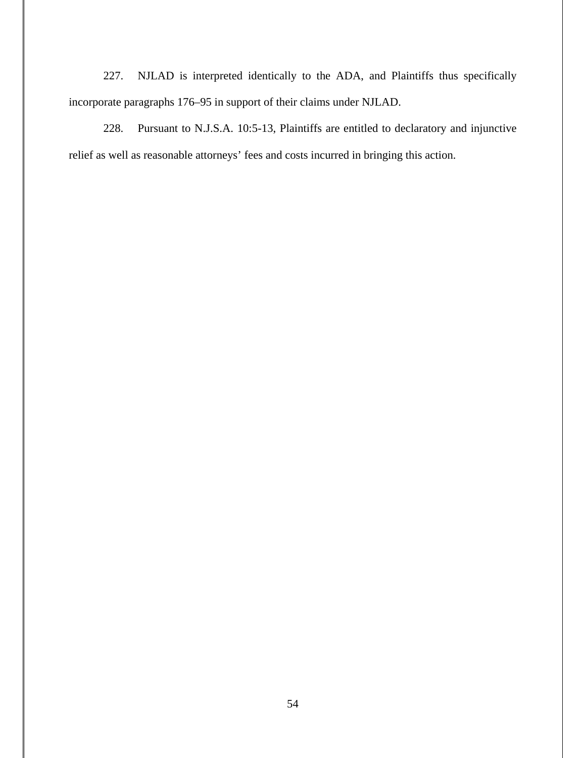227. NJLAD is interpreted identically to the ADA, and Plaintiffs thus specifically incorporate paragraphs 176–95 in support of their claims under NJLAD.

228. Pursuant to N.J.S.A. 10:5-13, Plaintiffs are entitled to declaratory and injunctive relief as well as reasonable attorneys' fees and costs incurred in bringing this action.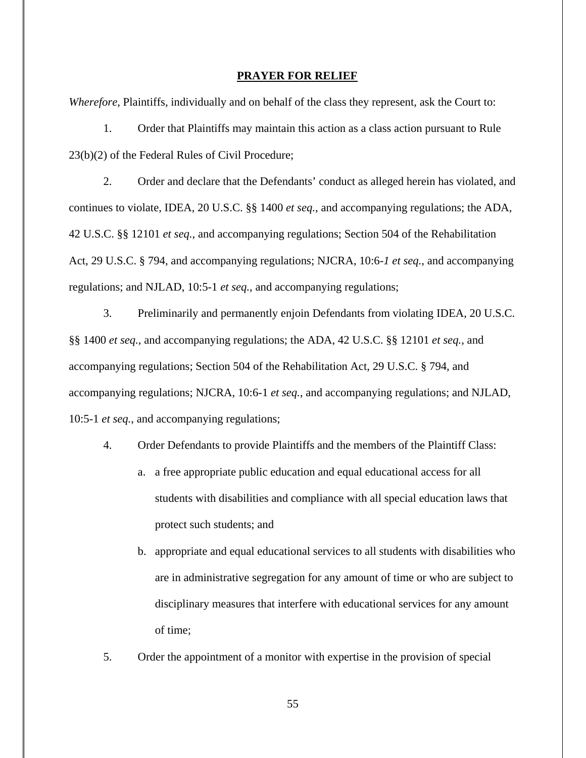#### **PRAYER FOR RELIEF**

*Wherefore*, Plaintiffs, individually and on behalf of the class they represent, ask the Court to:

1. Order that Plaintiffs may maintain this action as a class action pursuant to Rule 23(b)(2) of the Federal Rules of Civil Procedure;

2. Order and declare that the Defendants' conduct as alleged herein has violated, and continues to violate, IDEA, 20 U.S.C. §§ 1400 *et seq.*, and accompanying regulations; the ADA, 42 U.S.C. §§ 12101 *et seq.*, and accompanying regulations; Section 504 of the Rehabilitation Act, 29 U.S.C. § 794, and accompanying regulations; NJCRA, 10:6-*1 et seq.*, and accompanying regulations; and NJLAD, 10:5-1 *et seq.*, and accompanying regulations;

3. Preliminarily and permanently enjoin Defendants from violating IDEA, 20 U.S.C. §§ 1400 *et seq.*, and accompanying regulations; the ADA, 42 U.S.C. §§ 12101 *et seq.*, and accompanying regulations; Section 504 of the Rehabilitation Act, 29 U.S.C. § 794, and accompanying regulations; NJCRA, 10:6-1 *et seq.*, and accompanying regulations; and NJLAD, 10:5-1 *et seq.*, and accompanying regulations;

- 4. Order Defendants to provide Plaintiffs and the members of the Plaintiff Class:
	- a. a free appropriate public education and equal educational access for all students with disabilities and compliance with all special education laws that protect such students; and
	- b. appropriate and equal educational services to all students with disabilities who are in administrative segregation for any amount of time or who are subject to disciplinary measures that interfere with educational services for any amount of time;
- 5. Order the appointment of a monitor with expertise in the provision of special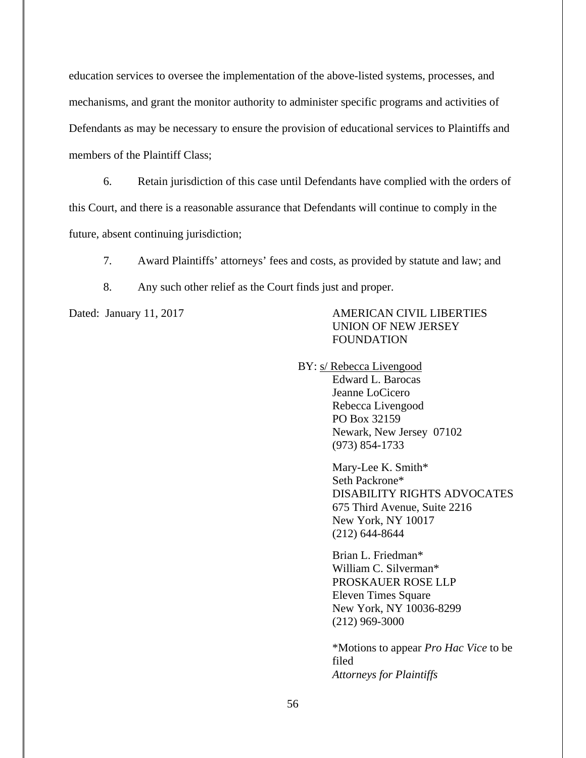education services to oversee the implementation of the above-listed systems, processes, and mechanisms, and grant the monitor authority to administer specific programs and activities of Defendants as may be necessary to ensure the provision of educational services to Plaintiffs and members of the Plaintiff Class;

6. Retain jurisdiction of this case until Defendants have complied with the orders of this Court, and there is a reasonable assurance that Defendants will continue to comply in the future, absent continuing jurisdiction;

7. Award Plaintiffs' attorneys' fees and costs, as provided by statute and law; and

8. Any such other relief as the Court finds just and proper.

Dated: January 11, 2017 AMERICAN CIVIL LIBERTIES UNION OF NEW JERSEY FOUNDATION

BY: s/ Rebecca Livengood

Edward L. Barocas Jeanne LoCicero Rebecca Livengood PO Box 32159 Newark, New Jersey 07102 (973) 854-1733

 Mary-Lee K. Smith\* Seth Packrone\* DISABILITY RIGHTS ADVOCATES 675 Third Avenue, Suite 2216 New York, NY 10017 (212) 644-8644

 Brian L. Friedman\* William C. Silverman\* PROSKAUER ROSE LLP Eleven Times Square New York, NY 10036-8299 (212) 969-3000

\*Motions to appear *Pro Hac Vice* to be filed *Attorneys for Plaintiffs*